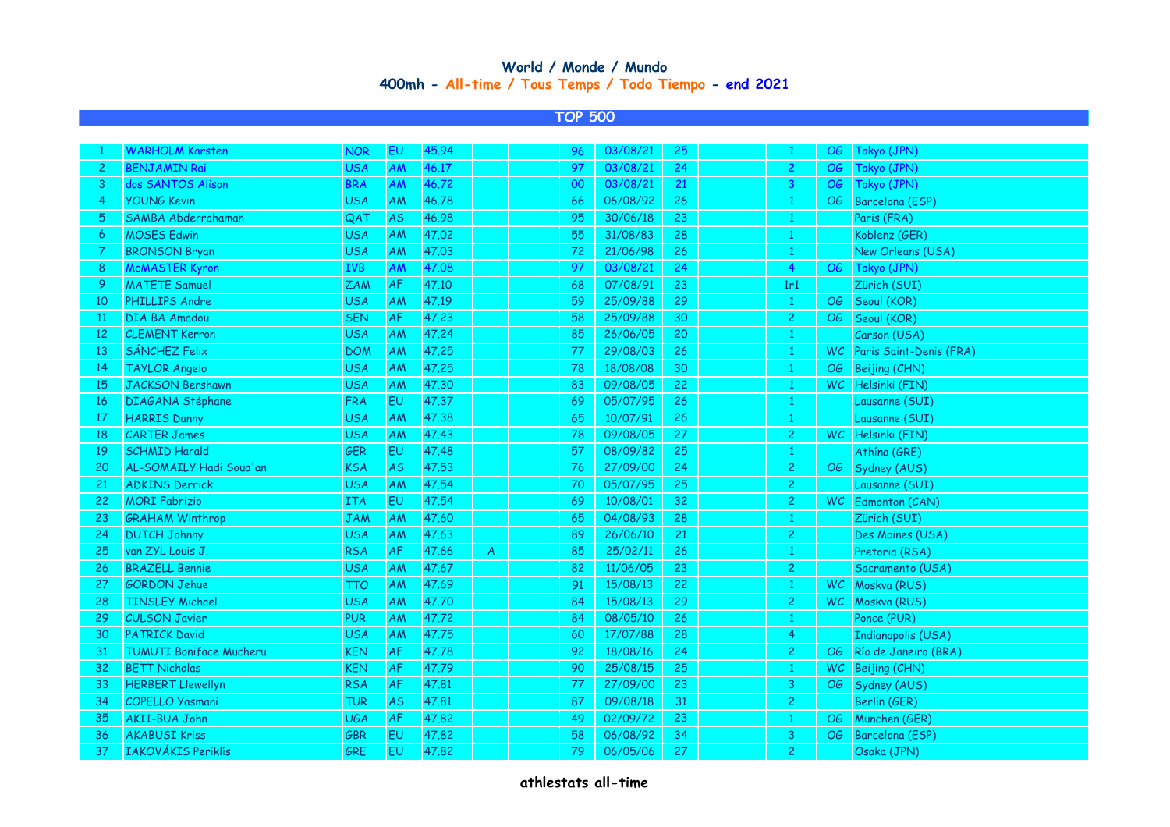## **400mh - All-time / Tous Temps / Todo Tiempo - end 2021 World / Monde / Mundo**

## **TOP 500**

|                 | <b>WARHOLM Karsten</b>         | <b>NOR</b> | EU            | 45.94 |   | 96 | 03/08/21 | 25 | $\mathbf{1}$   | OG . | Tokyo (JPN)                |
|-----------------|--------------------------------|------------|---------------|-------|---|----|----------|----|----------------|------|----------------------------|
| $\mathbf{2}$    | <b>BENJAMIN Rai</b>            | <b>USA</b> | AM            | 46.17 |   | 97 | 03/08/21 | 24 | $\mathbf{2}$   | OG   | Tokyo (JPN)                |
| 3               | dos SANTOS Alison              | <b>BRA</b> | AM            | 46.72 |   | 00 | 03/08/21 | 21 | 3              | OG   | Tokyo (JPN)                |
| -4              | <b>YOUNG Kevin</b>             | <b>USA</b> | AM            | 46.78 |   | 66 | 06/08/92 | 26 | $\mathbf{1}$   | OG   | Barcelona (ESP)            |
| 5               | SAMBA Abderrahaman             | QAT        | AS            | 46.98 |   | 95 | 30/06/18 | 23 | 1              |      | Paris (FRA)                |
| 6               | <b>MOSES Edwin</b>             | <b>USA</b> | AM            | 47.02 |   | 55 | 31/08/83 | 28 | 1              |      | Koblenz (GER)              |
| -7              | <b>BRONSON Bryan</b>           | <b>USA</b> | AM            | 47.03 |   | 72 | 21/06/98 | 26 | 1              |      | New Orleans (USA)          |
| 8               | <b>McMASTER Kyron</b>          | <b>IVB</b> | AM            | 47.08 |   | 97 | 03/08/21 | 24 | $\overline{4}$ | OG   | Tokyo (JPN)                |
| -9              | <b>MATETE Samuel</b>           | <b>ZAM</b> | $\mathsf{AF}$ | 47.10 |   | 68 | 07/08/91 | 23 | 1r1            |      | Zürich (SUI)               |
| 10              | PHILLIPS Andre                 | <b>USA</b> | AM            | 47.19 |   | 59 | 25/09/88 | 29 | 1              | OG   | Seoul (KOR)                |
| $\overline{11}$ | DIA BA Amadou                  | <b>SEN</b> | $\mathsf{AF}$ | 47.23 |   | 58 | 25/09/88 | 30 | $\mathbf{2}$   | OG   | Seoul (KOR)                |
| 12              | <b>CLEMENT Kerron</b>          | <b>USA</b> | AM            | 47.24 |   | 85 | 26/06/05 | 20 | $\mathbf{1}$   |      | Carson (USA)               |
| 13              | SÁNCHEZ Felix                  | <b>DOM</b> | AM            | 47.25 |   | 77 | 29/08/03 | 26 | 1              |      | WC Paris Saint-Denis (FRA) |
| 14              | <b>TAYLOR Angelo</b>           | <b>USA</b> | AM            | 47.25 |   | 78 | 18/08/08 | 30 | $\mathbf{1}$   | OG   | Beijing (CHN)              |
| 15              | <b>JACKSON Bershawn</b>        | <b>USA</b> | AM            | 47.30 |   | 83 | 09/08/05 | 22 | $\mathbf{1}$   |      | WC Helsinki (FIN)          |
| -16             | DIAGANA Stéphane               | <b>FRA</b> | EU            | 47.37 |   | 69 | 05/07/95 | 26 | 1              |      | Lausanne (SUI)             |
| 17              | <b>HARRIS Danny</b>            | <b>USA</b> | AM            | 47.38 |   | 65 | 10/07/91 | 26 | 1              |      | Lausanne (SUI)             |
| 18              | <b>CARTER James</b>            | <b>USA</b> | AM            | 47.43 |   | 78 | 09/08/05 | 27 | $\mathbf{2}$   |      | WC Helsinki (FIN)          |
| 19              | <b>SCHMID Harald</b>           | <b>GER</b> | EU            | 47.48 |   | 57 | 08/09/82 | 25 | $\mathbf{1}$   |      | Athína (GRE)               |
| 20              | AL-SOMAILY Hadi Soua'an        | <b>KSA</b> | <b>AS</b>     | 47.53 |   | 76 | 27/09/00 | 24 | 2 <sup>1</sup> | OG   | Sydney (AUS)               |
| 21              | <b>ADKINS Derrick</b>          | <b>USA</b> | AM            | 47.54 |   | 70 | 05/07/95 | 25 | $\mathbf{2}$   |      | Lausanne (SUI)             |
| 22              | <b>MORI Fabrizio</b>           | <b>ITA</b> | EU            | 47.54 |   | 69 | 10/08/01 | 32 | $\mathbf{2}$   |      | WC Edmonton (CAN)          |
| 23              | <b>GRAHAM Winthrop</b>         | <b>JAM</b> | AM            | 47.60 |   | 65 | 04/08/93 | 28 | 1              |      | Zürich (SUI)               |
| 24              | <b>DUTCH Johnny</b>            | <b>USA</b> | AM            | 47.63 |   | 89 | 26/06/10 | 21 | $\mathbf{2}$   |      | Des Moines (USA)           |
| 25              | van ZYL Louis J.               | <b>RSA</b> | AF            | 47.66 | A | 85 | 25/02/11 | 26 | 1              |      | Pretoria (RSA)             |
| 26              | <b>BRAZELL Bennie</b>          | <b>USA</b> | AM            | 47.67 |   | 82 | 11/06/05 | 23 | $\mathbf{2}$   |      | Sacramento (USA)           |
| 27              | <b>GORDON Jehue</b>            | <b>TTO</b> | AM            | 47.69 |   | 91 | 15/08/13 | 22 | $\mathbf{1}$   |      | WC Moskva (RUS)            |
| 28              | <b>TINSLEY Michael</b>         | <b>USA</b> | AM            | 47.70 |   | 84 | 15/08/13 | 29 | 2 <sup>1</sup> |      | WC Moskva (RUS)            |
| 29              | <b>CULSON Javier</b>           | <b>PUR</b> | AM            | 47.72 |   | 84 | 08/05/10 | 26 | $\mathbf{1}$   |      | Ponce (PUR)                |
| 30              | <b>PATRICK David</b>           | <b>USA</b> | AM            | 47.75 |   | 60 | 17/07/88 | 28 | 4              |      | <b>Indianapolis (USA)</b>  |
| 31              | <b>TUMUTI Boniface Mucheru</b> | <b>KEN</b> | $\mathsf{AF}$ | 47.78 |   | 92 | 18/08/16 | 24 | $\mathbf{2}$   |      | OG Río de Janeiro (BRA)    |
| 32              | <b>BETT Nicholas</b>           | <b>KEN</b> | AF            | 47.79 |   | 90 | 25/08/15 | 25 | $\mathbf{1}$   |      | WC Beijing (CHN)           |
| 33              | <b>HERBERT Llewellyn</b>       | <b>RSA</b> | AF            | 47.81 |   | 77 | 27/09/00 | 23 | 3 <sup>7</sup> |      | OG Sydney (AUS)            |
| 34              | COPELLO Yasmani                | <b>TUR</b> | <b>AS</b>     | 47.81 |   | 87 | 09/08/18 | 31 | $\mathbf{2}$   |      | Berlin (GER)               |
| 35              | <b>AKII-BUA John</b>           | <b>UGA</b> | AF            | 47.82 |   | 49 | 02/09/72 | 23 | $\mathbf{1}$   | OG   | München (GER)              |
| 36              | <b>AKABUSI Kriss</b>           | GBR        | EU            | 47.82 |   | 58 | 06/08/92 | 34 | 3              | OG   | Barcelona (ESP)            |
| 37              | <b>IAKOVÁKIS Periklís</b>      | GRE        | EU            | 47.82 |   | 79 | 06/05/06 | 27 | $\overline{c}$ |      | Osaka (JPN)                |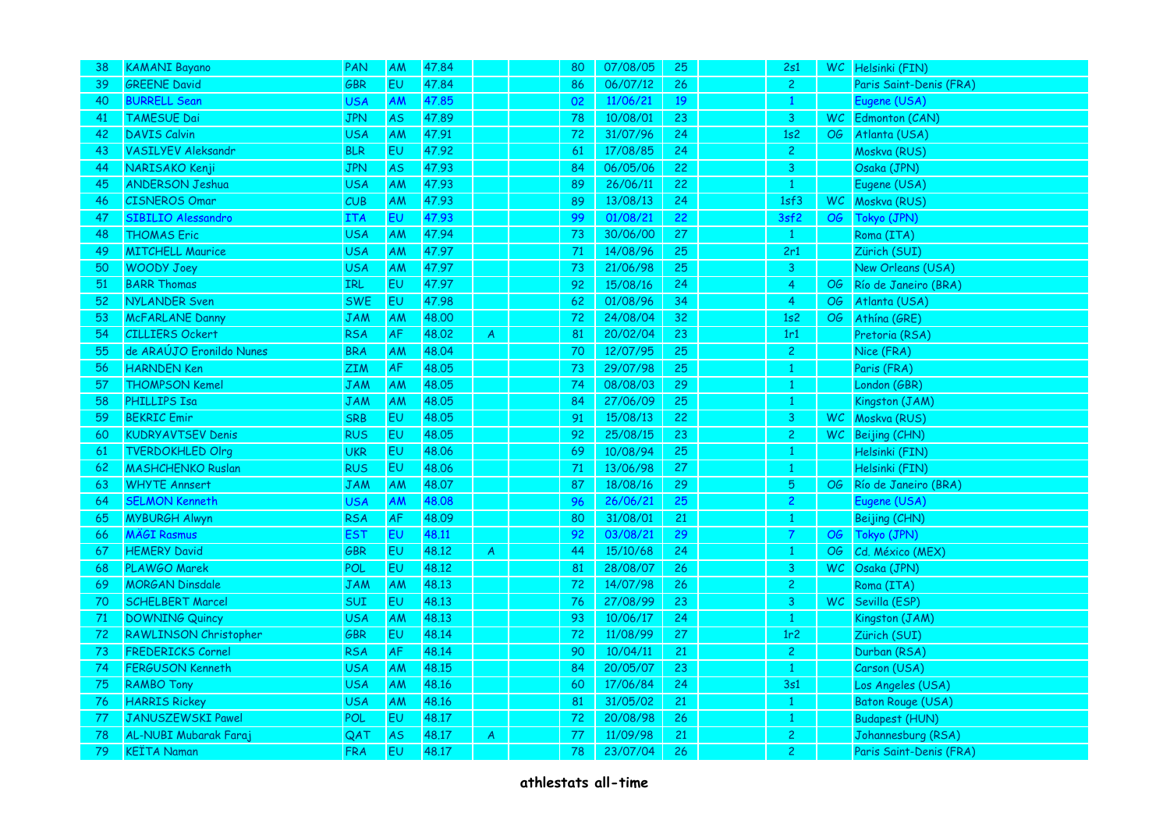| 38 | <b>KAMANI Bayano</b>      | PAN        | AM        | 47.84 |                | 80 | 07/08/05 | 25 | 2s1             |           | WC Helsinki (FIN)        |
|----|---------------------------|------------|-----------|-------|----------------|----|----------|----|-----------------|-----------|--------------------------|
| 39 | <b>GREENE David</b>       | GBR        | <b>EU</b> | 47.84 |                | 86 | 06/07/12 | 26 | $\overline{2}$  |           | Paris Saint-Denis (FRA)  |
| 40 | <b>BURRELL Sean</b>       | USA        | AM        | 47.85 |                | 02 | 11/06/21 | 19 | $\mathbf{1}$    |           | Eugene (USA)             |
| 41 | <b>TAMESUE Dai</b>        | JPN        | <b>AS</b> | 47.89 |                | 78 | 10/08/01 | 23 | 3               |           | WC Edmonton (CAN)        |
| 42 | <b>DAVIS Calvin</b>       | <b>USA</b> | <b>AM</b> | 47.91 |                | 72 | 31/07/96 | 24 | 1s2             |           | OG Atlanta (USA)         |
| 43 | <b>VASILYEV Aleksandr</b> | <b>BLR</b> | EU.       | 47.92 |                | 61 | 17/08/85 | 24 | 2 <sup>1</sup>  |           | Moskva (RUS)             |
| 44 | NARISAKO Kenji            | <b>JPN</b> | <b>AS</b> | 47.93 |                | 84 | 06/05/06 | 22 | 3               |           | Osaka (JPN)              |
| 45 | <b>ANDERSON Jeshua</b>    | <b>USA</b> | AM        | 47.93 |                | 89 | 26/06/11 | 22 | $\mathbf{1}$    |           | Eugene (USA)             |
| 46 | <b>CISNEROS Omar</b>      | <b>CUB</b> | AM        | 47.93 |                | 89 | 13/08/13 | 24 | 1sf3            |           | WC Moskva (RUS)          |
| 47 | <b>SIBILIO Alessandro</b> | <b>ITA</b> | EU.       | 47.93 |                | 99 | 01/08/21 | 22 | 3sf2            |           | OG Tokyo (JPN)           |
| 48 | <b>THOMAS Eric</b>        | <b>USA</b> | <b>AM</b> | 47.94 |                | 73 | 30/06/00 | 27 | $\mathbf{1}$    |           | Roma (ITA)               |
| 49 | <b>MITCHELL Maurice</b>   | <b>USA</b> | AM        | 47.97 |                | 71 | 14/08/96 | 25 | 2r1             |           | Zürich (SUI)             |
| 50 | <b>WOODY Joey</b>         | <b>USA</b> | <b>AM</b> | 47.97 |                | 73 | 21/06/98 | 25 | 3               |           | New Orleans (USA)        |
| 51 | <b>BARR Thomas</b>        | IRL        | <b>EU</b> | 47.97 |                | 92 | 15/08/16 | 24 | 4 <sup>1</sup>  | OG        | Río de Janeiro (BRA)     |
| 52 | <b>NYLANDER Sven</b>      | <b>SWE</b> | EU        | 47.98 |                | 62 | 01/08/96 | 34 | $\overline{4}$  | OG        | Atlanta (USA)            |
| 53 | <b>McFARLANE Danny</b>    | JAM        | <b>AM</b> | 48.00 |                | 72 | 24/08/04 | 32 | 1s2             | OG        | Athína (GRE)             |
| 54 | <b>CILLIERS Ockert</b>    | <b>RSA</b> | <b>AF</b> | 48.02 | $\overline{A}$ | 81 | 20/02/04 | 23 | 1r1             |           | Pretoria (RSA)           |
| 55 | de ARAÚJO Eronildo Nunes  | <b>BRA</b> | AM        | 48.04 |                | 70 | 12/07/95 | 25 | $\mathbf{2}$    |           | Nice (FRA)               |
| 56 | <b>HARNDEN</b> Ken        | <b>ZIM</b> | <b>AF</b> | 48,05 |                | 73 | 29/07/98 | 25 | $\mathbf{1}$    |           | Paris (FRA)              |
| 57 | <b>THOMPSON Kemel</b>     | <b>JAM</b> | AM        | 48.05 |                | 74 | 08/08/03 | 29 | $\mathbf{1}$    |           | London (GBR)             |
| 58 | <b>PHILLIPS Isa</b>       | <b>JAM</b> | <b>AM</b> | 48.05 |                | 84 | 27/06/09 | 25 | 1               |           | Kingston (JAM)           |
| 59 | <b>BEKRIC Emir</b>        | SRB        | <b>EU</b> | 48.05 |                | 91 | 15/08/13 | 22 | 3               | WC .      | Moskva (RUS)             |
| 60 | <b>KUDRYAVTSEV Denis</b>  | <b>RUS</b> | <b>EU</b> | 48.05 |                | 92 | 25/08/15 | 23 | 2 <sub>1</sub>  |           | WC Beijing (CHN)         |
| 61 | <b>TVERDOKHLED Olrg</b>   | <b>UKR</b> | <b>EU</b> | 48.06 |                | 69 | 10/08/94 | 25 | $\mathbf{1}$    |           | Helsinki (FIN)           |
| 62 | <b>MASHCHENKO Ruslan</b>  | <b>RUS</b> | EU        | 48.06 |                | 71 | 13/06/98 | 27 |                 |           | Helsinki (FIN)           |
| 63 | <b>WHYTE Annsert</b>      | <b>JAM</b> | AM        | 48,07 |                | 87 | 18/08/16 | 29 | 5               |           | OG Río de Janeiro (BRA)  |
| 64 | <b>SELMON Kenneth</b>     | USA        | <b>AM</b> | 48.08 |                | 96 | 26/06/21 | 25 | 2.              |           | Eugene (USA)             |
| 65 | <b>MYBURGH Alwyn</b>      | <b>RSA</b> | AF        | 48.09 |                | 80 | 31/08/01 | 21 | $\mathbf{1}$    |           | Beijing (CHN)            |
| 66 | <b>MÄGI Rasmus</b>        | <b>EST</b> | EU        | 48.11 |                | 92 | 03/08/21 | 29 | $\overline{7}$  |           | OG Tokyo (JPN)           |
| 67 | <b>HEMERY David</b>       | GBR        | <b>EU</b> | 48.12 | $\mathsf{A}$   | 44 | 15/10/68 | 24 | $\mathbf{1}$    | OG        | Cd. México (MEX)         |
| 68 | PLAWGO Marek              | POL        | <b>EU</b> | 48.12 |                | 81 | 28/08/07 | 26 | 3               | <b>WC</b> | Osaka (JPN)              |
| 69 | <b>MORGAN Dinsdale</b>    | <b>JAM</b> | <b>AM</b> | 48.13 |                | 72 | 14/07/98 | 26 | $\mathbf{2}$    |           | Roma (ITA)               |
| 70 | <b>SCHELBERT Marcel</b>   | <b>SUI</b> | <b>EU</b> | 48.13 |                | 76 | 27/08/99 | 23 | 3 <sup>1</sup>  |           | WC Sevilla (ESP)         |
| 71 | <b>DOWNING Quincy</b>     | <b>USA</b> | AM        | 48.13 |                | 93 | 10/06/17 | 24 | $\mathbf{1}$    |           | Kingston (JAM)           |
| 72 | RAWLINSON Christopher     | <b>GBR</b> | <b>EU</b> | 48.14 |                | 72 | 11/08/99 | 27 | 1r <sub>2</sub> |           | Zürich (SUI)             |
| 73 | <b>FREDERICKS Cornel</b>  | <b>RSA</b> | <b>AF</b> | 48.14 |                | 90 | 10/04/11 | 21 | $\overline{2}$  |           | Durban (RSA)             |
| 74 | <b>FERGUSON Kenneth</b>   | <b>USA</b> | <b>AM</b> | 48.15 |                | 84 | 20/05/07 | 23 | $\mathbf{1}$    |           | Carson (USA)             |
| 75 | <b>RAMBO Tony</b>         | <b>USA</b> | <b>AM</b> | 48.16 |                | 60 | 17/06/84 | 24 | 3s1             |           | Los Angeles (USA)        |
| 76 | <b>HARRIS Rickey</b>      | <b>USA</b> | <b>AM</b> | 48.16 |                | 81 | 31/05/02 | 21 | $\mathbf{1}$    |           | <b>Baton Rouge (USA)</b> |
| 77 | JANUSZEWSKI Pawel         | POL        | <b>EU</b> | 48.17 |                | 72 | 20/08/98 | 26 | $\mathbf{1}$    |           | <b>Budapest (HUN)</b>    |
| 78 | AL-NUBI Mubarak Faraj     | QAT        | <b>AS</b> | 48.17 | A              | 77 | 11/09/98 | 21 | 2               |           | Johannesburg (RSA)       |
| 79 | <b>KEÏTA Naman</b>        | <b>FRA</b> | <b>EU</b> | 48.17 |                | 78 | 23/07/04 | 26 | $\overline{2}$  |           | Paris Saint-Denis (FRA)  |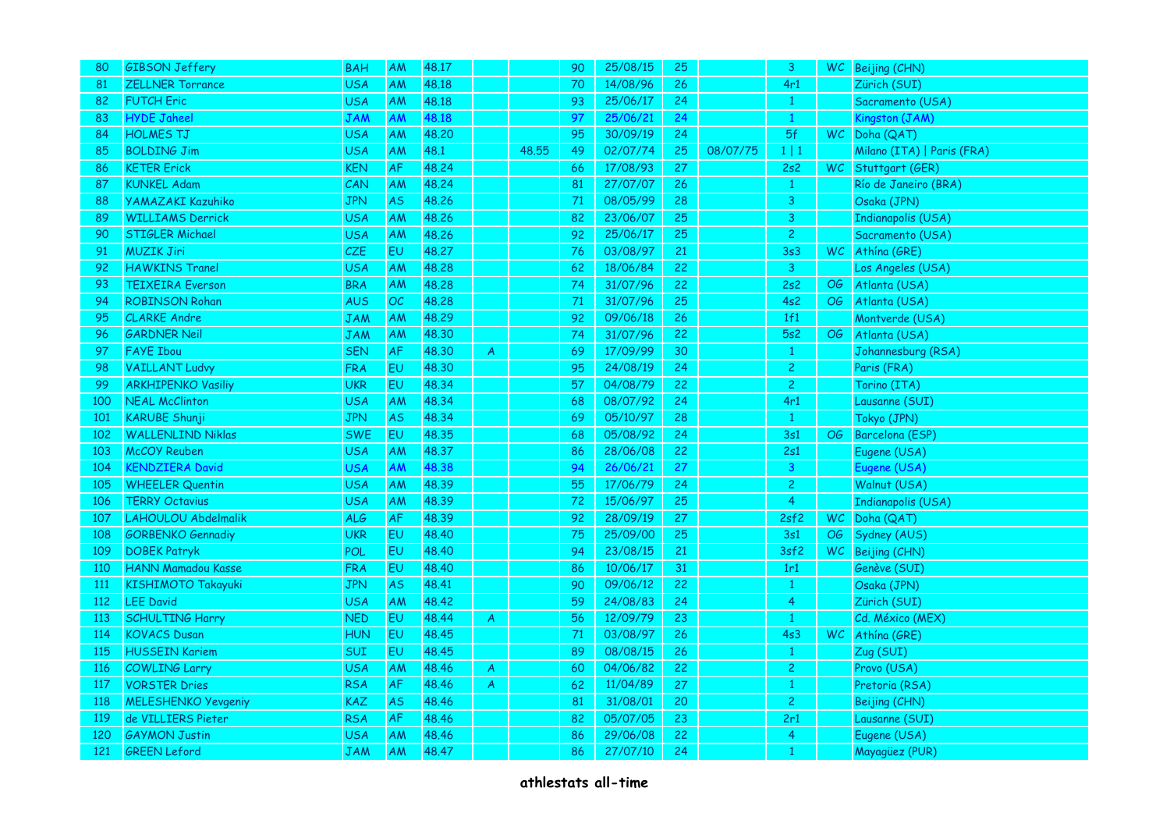| 80         | <b>GIBSON Jeffery</b>      | <b>BAH</b> | <b>AM</b>      | 48.17 |                |       | 90 | 25/08/15 | 25 |          | 3              |      | WC Beijing (CHN)           |
|------------|----------------------------|------------|----------------|-------|----------------|-------|----|----------|----|----------|----------------|------|----------------------------|
| 81         | <b>ZELLNER Torrance</b>    | <b>USA</b> | AM             | 48.18 |                |       | 70 | 14/08/96 | 26 |          | 4r1            |      | Zürich (SUI)               |
| 82         | <b>FUTCH Eric</b>          | <b>USA</b> | AM             | 48.18 |                |       | 93 | 25/06/17 | 24 |          | $\mathbf{1}$   |      | Sacramento (USA)           |
| 83         | <b>HYDE Jaheel</b>         | <b>JAM</b> | AM             | 48.18 |                |       | 97 | 25/06/21 | 24 |          | 1              |      | Kingston (JAM)             |
| 84         | <b>HOLMES TJ</b>           | <b>USA</b> | AM             | 48.20 |                |       | 95 | 30/09/19 | 24 |          | 5f             |      | WC Doha (QAT)              |
| 85         | <b>BOLDING Jim</b>         | <b>USA</b> | <b>AM</b>      | 48.1  |                | 48.55 | 49 | 02/07/74 | 25 | 08/07/75 | $1 \mid 1$     |      | Milano (ITA)   Paris (FRA) |
| 86         | <b>KETER Erick</b>         | <b>KEN</b> | <b>AF</b>      | 48.24 |                |       | 66 | 17/08/93 | 27 |          | 2s2            |      | WC Stuttgart (GER)         |
| 87         | <b>KUNKEL Adam</b>         | CAN        | AM             | 48.24 |                |       | 81 | 27/07/07 | 26 |          | $\mathbf{1}$   |      | Río de Janeiro (BRA)       |
| 88         | <b>YAMAZAKI Kazuhiko</b>   | <b>JPN</b> | <b>AS</b>      | 48.26 |                |       | 71 | 08/05/99 | 28 |          | 3 <sup>1</sup> |      | Osaka (JPN)                |
| 89         | <b>WILLIAMS Derrick</b>    | <b>USA</b> | AM             | 48.26 |                |       | 82 | 23/06/07 | 25 |          | 3              |      | <b>Indianapolis (USA)</b>  |
| 90         | <b>STIGLER Michael</b>     | <b>USA</b> | <b>AM</b>      | 48.26 |                |       | 92 | 25/06/17 | 25 |          | $\overline{2}$ |      | Sacramento (USA)           |
| 91         | <b>MUZIK Jiri</b>          | CZE        | <b>EU</b>      | 48.27 |                |       | 76 | 03/08/97 | 21 |          | 3s3            | WC . | Athína (GRE)               |
| 92         | <b>HAWKINS Tranel</b>      | <b>USA</b> | AM             | 48.28 |                |       | 62 | 18/06/84 | 22 |          | 3              |      | Los Angeles (USA)          |
| 93         | <b>TEIXEIRA</b> Everson    | <b>BRA</b> | <b>AM</b>      | 48.28 |                |       | 74 | 31/07/96 | 22 |          | 2s2            | OG   | Atlanta (USA)              |
| 94         | <b>ROBINSON Rohan</b>      | <b>AUS</b> | OC             | 48.28 |                |       | 71 | 31/07/96 | 25 |          | 4s2            | OG   | Atlanta (USA)              |
| 95         | <b>CLARKE Andre</b>        | <b>JAM</b> | AM             | 48.29 |                |       | 92 | 09/06/18 | 26 |          | 1f1            |      | Montverde (USA)            |
| 96         | <b>GARDNER Neil</b>        | <b>JAM</b> | AM             | 48.30 |                |       | 74 | 31/07/96 | 22 |          | 5s2            | OG   | Atlanta (USA)              |
| 97         | <b>FAYE Ibou</b>           | <b>SEN</b> | AF             | 48,30 | A              |       | 69 | 17/09/99 | 30 |          | $\mathbf{1}$   |      | Johannesburg (RSA)         |
| 98         | <b>VAILLANT Ludvy</b>      | <b>FRA</b> | <b>EU</b>      | 48.30 |                |       | 95 | 24/08/19 | 24 |          | 2 <sup>1</sup> |      | Paris (FRA)                |
| 99         | <b>ARKHIPENKO Vasiliy</b>  | <b>UKR</b> | EU             | 48.34 |                |       | 57 | 04/08/79 | 22 |          | $\overline{2}$ |      | Torino (ITA)               |
| 100        | <b>NEAL McClinton</b>      | <b>USA</b> | <b>AM</b>      | 48.34 |                |       | 68 | 08/07/92 | 24 |          | 4r1            |      | Lausanne (SUI)             |
| 101        | <b>KARUBE Shunji</b>       | <b>JPN</b> | <b>AS</b>      | 48.34 |                |       | 69 | 05/10/97 | 28 |          | $\mathbf{1}$   |      | Tokyo (JPN)                |
| 102        | <b>WALLENLIND Niklas</b>   | <b>SWE</b> | EU             | 48.35 |                |       | 68 | 05/08/92 | 24 |          | 3s1            | OG   | Barcelona (ESP)            |
| 103        | <b>McCOY Reuben</b>        | <b>USA</b> | AM             | 48.37 |                |       | 86 | 28/06/08 | 22 |          | 2s1            |      | Eugene (USA)               |
| 104        | <b>KENDZIERA David</b>     | USA        | <b>AM</b>      | 48.38 |                |       | 94 | 26/06/21 | 27 |          | $\overline{3}$ |      | Eugene (USA)               |
| 105        | <b>WHEELER Quentin</b>     | <b>USA</b> | AM             | 48.39 |                |       | 55 | 17/06/79 | 24 |          | $\overline{2}$ |      | Walnut (USA)               |
| 106        | <b>TERRY Octavius</b>      | USA        | AM             | 48.39 |                |       | 72 | 15/06/97 | 25 |          | 4              |      | <b>Indianapolis (USA)</b>  |
| 107        | LAHOULOU Abdelmalik        | <b>ALG</b> | <b>AF</b>      | 48.39 |                |       | 92 | 28/09/19 | 27 |          | 2sf2           |      | WC Doha (QAT)              |
| 108        | <b>GORBENKO Gennadiy</b>   | <b>UKR</b> | E <sub>U</sub> | 48.40 |                |       | 75 | 25/09/00 | 25 |          | 3s1            | OG   | Sydney (AUS)               |
| 109        | <b>DOBEK Patryk</b>        | POL        | EU             | 48.40 |                |       | 94 | 23/08/15 | 21 |          | 3sf2           |      | WC Beijing (CHN)           |
| 110        | <b>HANN Mamadou Kasse</b>  | <b>FRA</b> | EU             | 48.40 |                |       | 86 | 10/06/17 | 31 |          | 1r1            |      | Genève (SUI)               |
| 111        | <b>KISHIMOTO Takayuki</b>  | JPN        | <b>AS</b>      | 48.41 |                |       | 90 | 09/06/12 | 22 |          | $\mathbf{1}$   |      | Osaka (JPN)                |
| 112        | <b>LEE David</b>           | <b>USA</b> | AM             | 48.42 |                |       | 59 | 24/08/83 | 24 |          | 4              |      | Zürich (SUI)               |
| 113        | <b>SCHULTING Harry</b>     | <b>NED</b> | <b>EU</b>      | 48.44 | $\mathsf{A}$   |       | 56 | 12/09/79 | 23 |          | $\mathbf{1}$   |      | Cd. México (MEX)           |
| 114        | <b>KOVACS Dusan</b>        | <b>HUN</b> | <b>EU</b>      | 48.45 |                |       | 71 | 03/08/97 | 26 |          | 4s3            |      | WC Athina (GRE)            |
| 115        | <b>HUSSEIN Kariem</b>      | SUI        | EU             | 48.45 |                |       | 89 | 08/08/15 | 26 |          | $\mathbf{1}$   |      | Zug (SUI)                  |
| <b>116</b> | <b>COWLING Larry</b>       | <b>USA</b> | AM             | 48.46 | $\mathsf{A}$   |       | 60 | 04/06/82 | 22 |          | 2 <sup>1</sup> |      | Provo (USA)                |
| 117        | <b>VORSTER Dries</b>       | <b>RSA</b> | <b>AF</b>      | 48.46 | $\overline{A}$ |       | 62 | 11/04/89 | 27 |          | $\mathbf{1}$   |      | Pretoria (RSA)             |
| <b>118</b> | <b>MELESHENKO Yevgeniy</b> | <b>KAZ</b> | <b>AS</b>      | 48.46 |                |       | 81 | 31/08/01 | 20 |          | $\mathbf{2}$   |      | Beijing (CHN)              |
| 119        | de VILLIERS Pieter         | <b>RSA</b> | <b>AF</b>      | 48.46 |                |       | 82 | 05/07/05 | 23 |          | 2r1            |      | Lausanne (SUI)             |
| 120        | <b>GAYMON Justin</b>       | USA        | <b>AM</b>      | 48.46 |                |       | 86 | 29/06/08 | 22 |          | 4              |      | Eugene (USA)               |
| 121        | <b>GREEN Leford</b>        | <b>JAM</b> | AM             | 48.47 |                |       | 86 | 27/07/10 | 24 |          | $\mathbf{1}$   |      | Mayagüez (PUR)             |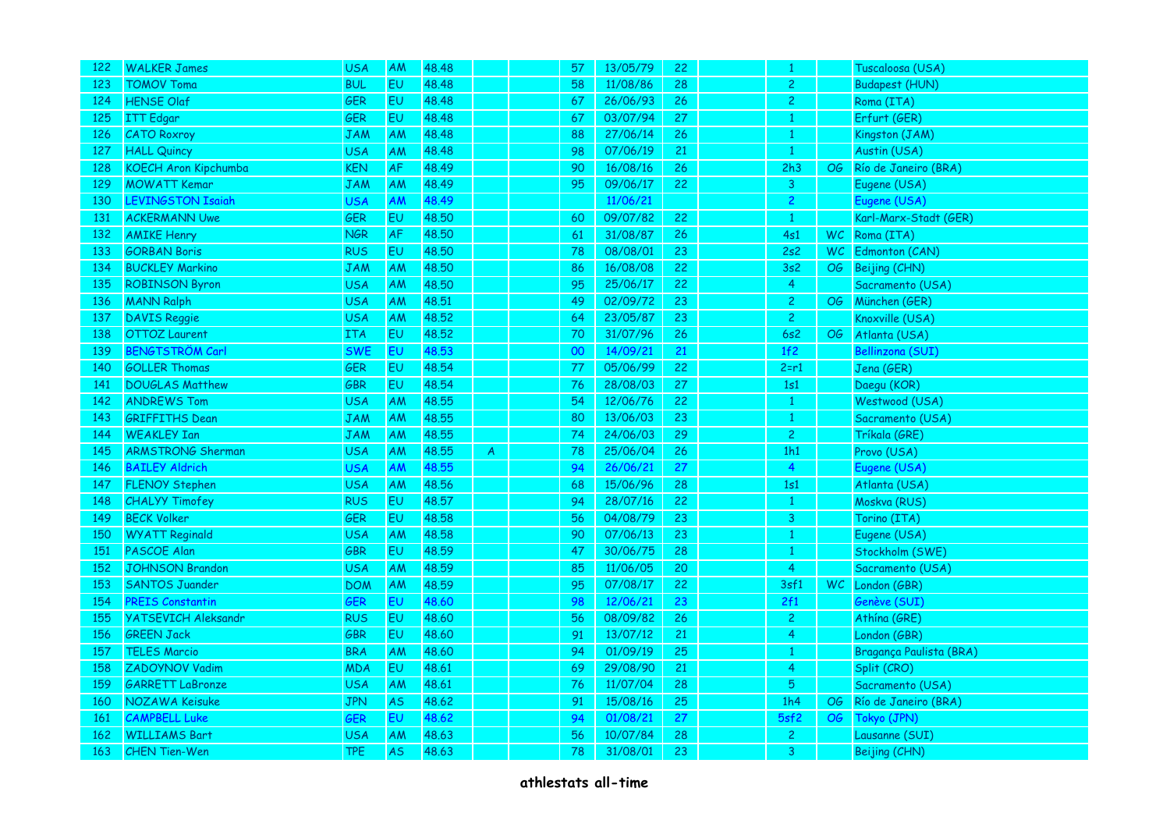| 122 | <b>WALKER James</b>         | <b>USA</b> | <b>AM</b> | 48.48 |                | 57              | 13/05/79 | 22 | $\mathbf{1}$   |    | Tuscaloosa (USA)        |
|-----|-----------------------------|------------|-----------|-------|----------------|-----------------|----------|----|----------------|----|-------------------------|
| 123 | <b>TOMOV Toma</b>           | <b>BUL</b> | <b>EU</b> | 48.48 |                | 58              | 11/08/86 | 28 | $\overline{2}$ |    | <b>Budapest (HUN)</b>   |
| 124 | <b>HENSE Olaf</b>           | GER        | <b>EU</b> | 48.48 |                | 67              | 26/06/93 | 26 | $\overline{c}$ |    | Roma (ITA)              |
| 125 | <b>ITT</b> Edgar            | GER        | EU        | 48.48 |                | 67              | 03/07/94 | 27 | 1              |    | Erfurt (GER)            |
| 126 | <b>CATO Roxroy</b>          | <b>JAM</b> | AM        | 48.48 |                | 88              | 27/06/14 | 26 | $\mathbf{1}$   |    | Kingston (JAM)          |
| 127 | <b>HALL Quincy</b>          | <b>USA</b> | AM        | 48.48 |                | 98              | 07/06/19 | 21 | $\mathbf{1}$   |    | Austin (USA)            |
| 128 | <b>KOECH Aron Kipchumba</b> | <b>KEN</b> | <b>AF</b> | 48.49 |                | 90              | 16/08/16 | 26 | 2h3            |    | OG Río de Janeiro (BRA) |
| 129 | <b>MOWATT Kemar</b>         | <b>JAM</b> | AM        | 48.49 |                | 95              | 09/06/17 | 22 | 3              |    | Eugene (USA)            |
| 130 | <b>LEVINGSTON Isaiah</b>    | USA        | AM        | 48.49 |                |                 | 11/06/21 |    | $\mathbf{2}$   |    | Eugene (USA)            |
| 131 | <b>ACKERMANN Uwe</b>        | <b>GER</b> | EU        | 48.50 |                | 60              | 09/07/82 | 22 | $\mathbf{1}$   |    | Karl-Marx-Stadt (GER)   |
| 132 | <b>AMIKE Henry</b>          | <b>NGR</b> | <b>AF</b> | 48.50 |                | 61              | 31/08/87 | 26 | 4s1            |    | WC Roma (ITA)           |
| 133 | <b>GORBAN Boris</b>         | <b>RUS</b> | EU        | 48.50 |                | 78              | 08/08/01 | 23 | 2s2            |    | WC Edmonton (CAN)       |
| 134 | <b>BUCKLEY Markino</b>      | JAM        | AM        | 48.50 |                | 86              | 16/08/08 | 22 | 3s2            | OG | Beijing (CHN)           |
| 135 | <b>ROBINSON Byron</b>       | <b>USA</b> | AM        | 48,50 |                | 95              | 25/06/17 | 22 | $\overline{4}$ |    | Sacramento (USA)        |
| 136 | <b>MANN Ralph</b>           | <b>USA</b> | AM        | 48.51 |                | 49              | 02/09/72 | 23 | $\overline{c}$ | OG | München (GER)           |
| 137 | <b>DAVIS Reggie</b>         | <b>USA</b> | AM        | 48.52 |                | 64              | 23/05/87 | 23 | $\overline{2}$ |    | Knoxville (USA)         |
| 138 | <b>OTTOZ</b> Laurent        | <b>ITA</b> | <b>EU</b> | 48.52 |                | 70              | 31/07/96 | 26 | 6s2            | OG | Atlanta (USA)           |
| 139 | <b>BENGTSTRÖM Carl</b>      | <b>SWE</b> | <b>EU</b> | 48.53 |                | 00 <sub>1</sub> | 14/09/21 | 21 | 1f2            |    | Bellinzona (SUI)        |
| 140 | <b>GOLLER Thomas</b>        | <b>GER</b> | EU        | 48.54 |                | 77              | 05/06/99 | 22 | $2 = r1$       |    | Jena (GER)              |
| 141 | <b>DOUGLAS Matthew</b>      | GBR        | EU        | 48.54 |                | 76              | 28/08/03 | 27 | 1s1            |    | Daegu (KOR)             |
| 142 | <b>ANDREWS Tom</b>          | <b>USA</b> | AM        | 48.55 |                | 54              | 12/06/76 | 22 | $\mathbf{1}$   |    | Westwood (USA)          |
| 143 | <b>GRIFFITHS Dean</b>       | <b>JAM</b> | AM        | 48.55 |                | 80              | 13/06/03 | 23 | $\mathbf{1}$   |    | Sacramento (USA)        |
| 144 | <b>WEAKLEY Ian</b>          | <b>JAM</b> | AM        | 48.55 |                | 74              | 24/06/03 | 29 | 2 <sup>1</sup> |    | Tríkala (GRE)           |
| 145 | <b>ARMSTRONG Sherman</b>    | <b>USA</b> | AM        | 48.55 | $\overline{A}$ | 78              | 25/06/04 | 26 | 1h1            |    | Provo (USA)             |
| 146 | <b>BAILEY Aldrich</b>       | USA        | <b>AM</b> | 48.55 |                | 94              | 26/06/21 | 27 | $\overline{4}$ |    | Eugene (USA)            |
| 147 | <b>FLENOY Stephen</b>       | <b>USA</b> | AM        | 48.56 |                | 68              | 15/06/96 | 28 | 1s1            |    | Atlanta (USA)           |
| 148 | <b>CHALYY Timofey</b>       | <b>RUS</b> | <b>EU</b> | 48.57 |                | 94              | 28/07/16 | 22 | 1              |    | Moskva (RUS)            |
| 149 | <b>BECK Volker</b>          | <b>GER</b> | <b>EU</b> | 48.58 |                | 56              | 04/08/79 | 23 | 3 <sup>1</sup> |    | Torino (ITA)            |
| 150 | <b>WYATT Reginald</b>       | <b>USA</b> | AM        | 48.58 |                | 90              | 07/06/13 | 23 | $\mathbf{1}$   |    | Eugene (USA)            |
| 151 | PASCOE Alan                 | GBR        | EU        | 48.59 |                | 47              | 30/06/75 | 28 | 1              |    | Stockholm (SWE)         |
| 152 | <b>JOHNSON Brandon</b>      | <b>USA</b> | AM        | 48.59 |                | 85              | 11/06/05 | 20 | $\overline{4}$ |    | Sacramento (USA)        |
| 153 | <b>SANTOS Juander</b>       | <b>DOM</b> | AM        | 48.59 |                | 95              | 07/08/17 | 22 | 3sf1           |    | WC London (GBR)         |
| 154 | <b>PREIS Constantin</b>     | GER        | <b>EU</b> | 48.60 |                | 98              | 12/06/21 | 23 | 2f1            |    | Genève (SUI)            |
| 155 | <b>YATSEVICH Aleksandr</b>  | <b>RUS</b> | EU        | 48.60 |                | 56              | 08/09/82 | 26 | $\overline{2}$ |    | Athína (GRE)            |
| 156 | <b>GREEN Jack</b>           | <b>GBR</b> | EU        | 48.60 |                | 91              | 13/07/12 | 21 | 4              |    | London (GBR)            |
| 157 | <b>TELES Marcio</b>         | <b>BRA</b> | AM        | 48.60 |                | 94              | 01/09/19 | 25 | $\mathbf{1}$   |    | Bragança Paulista (BRA) |
| 158 | ZADOYNOV Vadim              | <b>MDA</b> | <b>EU</b> | 48.61 |                | 69              | 29/08/90 | 21 | $\overline{4}$ |    | Split (CRO)             |
| 159 | <b>GARRETT LaBronze</b>     | <b>USA</b> | AM        | 48.61 |                | 76              | 11/07/04 | 28 | 5 <sup>5</sup> |    | Sacramento (USA)        |
| 160 | NOZAWA Keisuke              | <b>JPN</b> | <b>AS</b> | 48.62 |                | 91              | 15/08/16 | 25 | 1h4            |    | OG Río de Janeiro (BRA) |
| 161 | <b>CAMPBELL Luke</b>        | <b>GER</b> | EU        | 48.62 |                | 94              | 01/08/21 | 27 | 5sf2           | OG | Tokyo (JPN)             |
| 162 | <b>WILLIAMS Bart</b>        | USA        | <b>AM</b> | 48.63 |                | 56              | 10/07/84 | 28 | $\overline{2}$ |    | Lausanne (SUI)          |
| 163 | <b>CHEN Tien-Wen</b>        | <b>TPE</b> | <b>AS</b> | 48.63 |                | 78              | 31/08/01 | 23 | 3              |    | Beijing (CHN)           |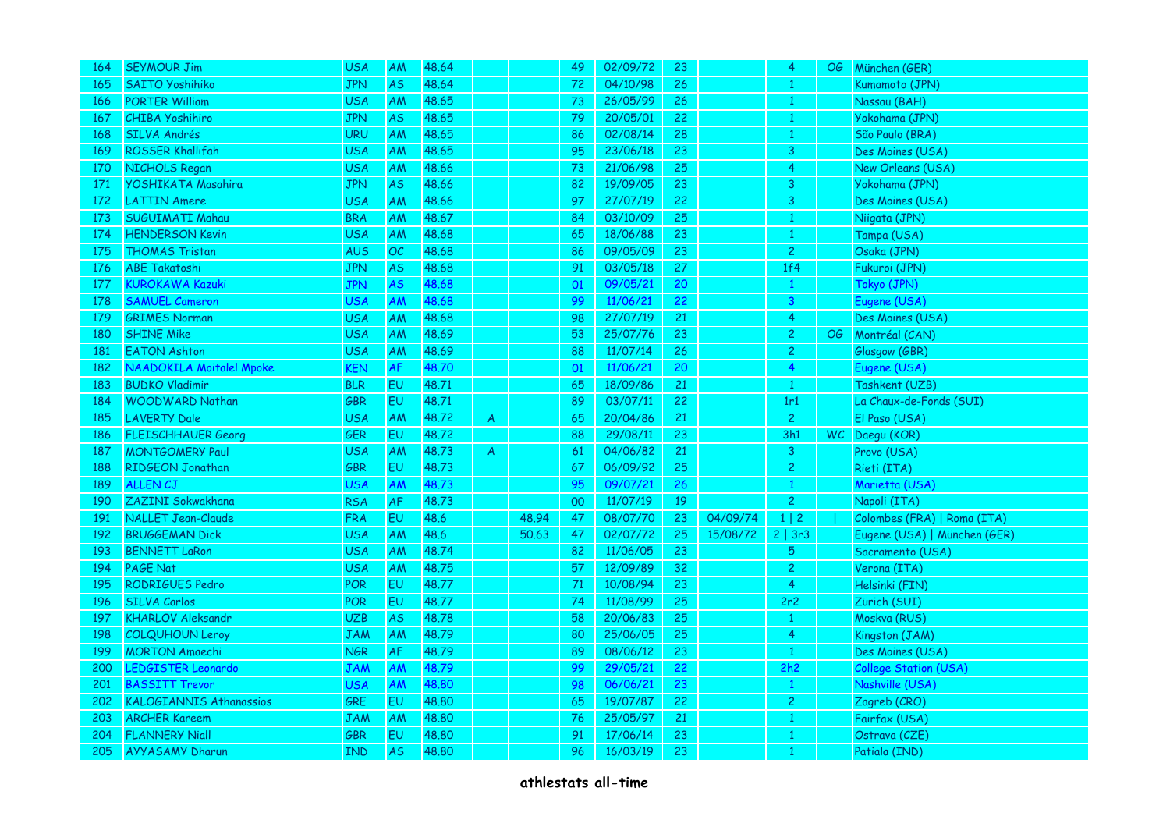| 164 | <b>SEYMOUR Jim</b>             | <b>USA</b> | AM             | 48.64 |   |       | 49              | 02/09/72 | 23 |          | 4              | OG | München (GER)                |
|-----|--------------------------------|------------|----------------|-------|---|-------|-----------------|----------|----|----------|----------------|----|------------------------------|
| 165 | <b>SAITO Yoshihiko</b>         | <b>JPN</b> | <b>AS</b>      | 48.64 |   |       | 72              | 04/10/98 | 26 |          |                |    | Kumamoto (JPN)               |
| 166 | <b>PORTER William</b>          | <b>USA</b> | AM             | 48.65 |   |       | 73              | 26/05/99 | 26 |          | 1              |    | Nassau (BAH)                 |
| 167 | <b>CHIBA Yoshihiro</b>         | JPN        | <b>AS</b>      | 48.65 |   |       | 79              | 20/05/01 | 22 |          | 1              |    | Yokohama (JPN)               |
| 168 | SILVA Andrés                   | <b>URU</b> | AM             | 48.65 |   |       | 86              | 02/08/14 | 28 |          |                |    | São Paulo (BRA)              |
| 169 | <b>ROSSER Khallifah</b>        | <b>USA</b> | AM             | 48.65 |   |       | 95              | 23/06/18 | 23 |          | 3              |    | Des Moines (USA)             |
| 170 | NICHOLS Regan                  | <b>USA</b> | AM             | 48.66 |   |       | 73              | 21/06/98 | 25 |          | 4              |    | New Orleans (USA)            |
| 171 | YOSHIKATA Masahira             | <b>JPN</b> | <b>AS</b>      | 48.66 |   |       | 82              | 19/09/05 | 23 |          | 3              |    | Yokohama (JPN)               |
| 172 | <b>LATTIN Amere</b>            | USA        | AM             | 48.66 |   |       | 97              | 27/07/19 | 22 |          | 3              |    | Des Moines (USA)             |
| 173 | <b>SUGUIMATI Mahau</b>         | <b>BRA</b> | AM             | 48.67 |   |       | 84              | 03/10/09 | 25 |          | $\mathbf{1}$   |    | Niigata (JPN)                |
| 174 | <b>HENDERSON Kevin</b>         | <b>USA</b> | AM             | 48.68 |   |       | 65              | 18/06/88 | 23 |          | 1              |    | Tampa (USA)                  |
| 175 | <b>THOMAS Tristan</b>          | <b>AUS</b> | OC             | 48.68 |   |       | 86              | 09/05/09 | 23 |          | $\overline{c}$ |    | Osaka (JPN)                  |
| 176 | <b>ABE Takatoshi</b>           | <b>JPN</b> | <b>AS</b>      | 48.68 |   |       | 91              | 03/05/18 | 27 |          | 1f4            |    | Fukuroi (JPN)                |
| 177 | <b>KUROKAWA Kazuki</b>         | <b>JPN</b> | <b>AS</b>      | 48.68 |   |       | 01              | 09/05/21 | 20 |          |                |    | Tokyo (JPN)                  |
| 178 | <b>SAMUEL Cameron</b>          | <b>USA</b> | AM             | 48.68 |   |       | 99              | 11/06/21 | 22 |          | 3              |    | Eugene (USA)                 |
| 179 | <b>GRIMES Norman</b>           | <b>USA</b> | <b>AM</b>      | 48.68 |   |       | 98              | 27/07/19 | 21 |          | 4              |    | Des Moines (USA)             |
| 180 | <b>SHINE Mike</b>              | <b>USA</b> | AM             | 48.69 |   |       | 53              | 25/07/76 | 23 |          | $\overline{2}$ | OG | Montréal (CAN)               |
| 181 | <b>EATON Ashton</b>            | <b>USA</b> | AM             | 48.69 |   |       | 88              | 11/07/14 | 26 |          | $\mathbf{2}$   |    | Glasgow (GBR)                |
| 182 | NAADOKILA Moitalel Mpoke       | KEN        | <b>AF</b>      | 48.70 |   |       | 01              | 11/06/21 | 20 |          | 4              |    | Eugene (USA)                 |
| 183 | <b>BUDKO Vladimir</b>          | <b>BLR</b> | <b>EU</b>      | 48.71 |   |       | 65              | 18/09/86 | 21 |          | $\mathbf{1}$   |    | Tashkent (UZB)               |
| 184 | <b>WOODWARD Nathan</b>         | <b>GBR</b> | EU             | 48.71 |   |       | 89              | 03/07/11 | 22 |          | 1r1            |    | La Chaux-de-Fonds (SUI)      |
| 185 | <b>LAVERTY Dale</b>            | <b>USA</b> | AM             | 48.72 | A |       | 65              | 20/04/86 | 21 |          | $\overline{2}$ |    | El Paso (USA)                |
| 186 | <b>FLEISCHHAUER Georg</b>      | GER        | EU             | 48.72 |   |       | 88              | 29/08/11 | 23 |          | 3h1            |    | WC Daegu (KOR)               |
| 187 | <b>MONTGOMERY Paul</b>         | <b>USA</b> | AM             | 48.73 | A |       | 61              | 04/06/82 | 21 |          | $\mathbf{3}$   |    | Provo (USA)                  |
| 188 | RIDGEON Jonathan               | GBR        | E <sub>U</sub> | 48.73 |   |       | 67              | 06/09/92 | 25 |          | $\overline{c}$ |    | Rieti (ITA)                  |
| 189 | <b>ALLEN CJ</b>                | USA        | <b>AM</b>      | 48.73 |   |       | 95              | 09/07/21 | 26 |          |                |    | Marietta (USA)               |
| 190 | ZAZINI Sokwakhana              | <b>RSA</b> | <b>AF</b>      | 48.73 |   |       | 00 <sub>1</sub> | 11/07/19 | 19 |          | $\overline{c}$ |    | Napoli (ITA)                 |
| 191 | <b>NALLET Jean-Claude</b>      | <b>FRA</b> | EU             | 48.6  |   | 48.94 | 47              | 08/07/70 | 23 | 04/09/74 | 1 2            |    | Colombes (FRA)   Roma (ITA)  |
| 192 | <b>BRUGGEMAN Dick</b>          | <b>USA</b> | AM             | 48.6  |   | 50.63 | 47              | 02/07/72 | 25 | 15/08/72 | 2 3r3          |    | Eugene (USA)   München (GER) |
| 193 | <b>BENNETT LaRon</b>           | <b>USA</b> | <b>AM</b>      | 48.74 |   |       | 82              | 11/06/05 | 23 |          | 5 <sup>5</sup> |    | Sacramento (USA)             |
| 194 | <b>PAGE Nat</b>                | <b>USA</b> | AM             | 48.75 |   |       | 57              | 12/09/89 | 32 |          | $\overline{2}$ |    | Verona (ITA)                 |
| 195 | <b>RODRIGUES Pedro</b>         | POR        | E <sub>U</sub> | 48.77 |   |       | 71              | 10/08/94 | 23 |          | 4              |    | Helsinki (FIN)               |
| 196 | <b>SILVA Carlos</b>            | POR        | <b>EU</b>      | 48.77 |   |       | 74              | 11/08/99 | 25 |          | 2r2            |    | Zürich (SUI)                 |
| 197 | <b>KHARLOV Aleksandr</b>       | <b>UZB</b> | <b>AS</b>      | 48.78 |   |       | 58              | 20/06/83 | 25 |          | $\mathbf{1}$   |    | Moskva (RUS)                 |
| 198 | <b>COLQUHOUN Leroy</b>         | JAM        | <b>AM</b>      | 48.79 |   |       | 80              | 25/06/05 | 25 |          | 4              |    | Kingston (JAM)               |
| 199 | <b>MORTON Amaechi</b>          | <b>NGR</b> | <b>AF</b>      | 48.79 |   |       | 89              | 08/06/12 | 23 |          | $\mathbf{1}$   |    | Des Moines (USA)             |
| 200 | <b>LEDGISTER Leonardo</b>      | JAM        | AM             | 48.79 |   |       | 99              | 29/05/21 | 22 |          | 2h2            |    | <b>College Station (USA)</b> |
| 201 | <b>BASSITT Trevor</b>          | <b>USA</b> | <b>AM</b>      | 48.80 |   |       | 98              | 06/06/21 | 23 |          | $\mathbf{1}$   |    | Nashville (USA)              |
| 202 | <b>KALOGIANNIS Athanassios</b> | GRE        | E <sub>U</sub> | 48.80 |   |       | 65              | 19/07/87 | 22 |          | $\overline{c}$ |    | Zagreb (CRO)                 |
| 203 | <b>ARCHER Kareem</b>           | JAM        | <b>AM</b>      | 48.80 |   |       | 76              | 25/05/97 | 21 |          |                |    | Fairfax (USA)                |
| 204 | <b>FLANNERY Niall</b>          | GBR        | EU             | 48.80 |   |       | 91              | 17/06/14 | 23 |          |                |    | Ostrava (CZE)                |
| 205 | <b>AYYASAMY Dharun</b>         | IND        | <b>AS</b>      | 48.80 |   |       | 96              | 16/03/19 | 23 |          |                |    | Patiala (IND)                |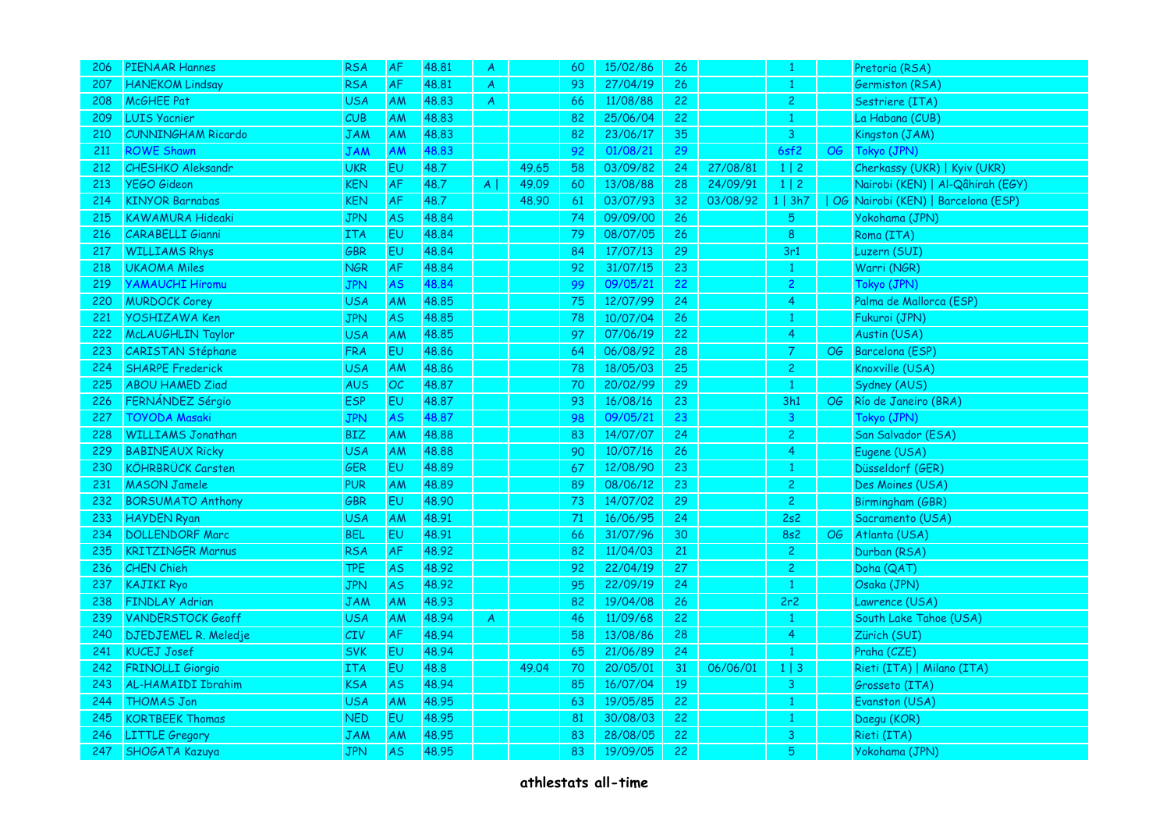| 206 | PIENAAR Hannes            | <b>RSA</b> | <b>AF</b>      | 48.81 | A            |       | 60 | 15/02/86 | 26 |          |                         |                 | Pretoria (RSA)                     |
|-----|---------------------------|------------|----------------|-------|--------------|-------|----|----------|----|----------|-------------------------|-----------------|------------------------------------|
| 207 | <b>HANEKOM Lindsay</b>    | <b>RSA</b> | AF             | 48.81 | A            |       | 93 | 27/04/19 | 26 |          |                         |                 | Germiston (RSA)                    |
| 208 | McGHEE Pat                | <b>USA</b> | AM             | 48.83 | $\mathsf{A}$ |       | 66 | 11/08/88 | 22 |          | $\mathbf{2}$            |                 | Sestriere (ITA)                    |
| 209 | <b>LUIS Yacnier</b>       | CUB        | AM             | 48.83 |              |       | 82 | 25/06/04 | 22 |          | 1                       |                 | La Habana (CUB)                    |
| 210 | <b>CUNNINGHAM Ricardo</b> | <b>JAM</b> | AM             | 48.83 |              |       | 82 | 23/06/17 | 35 |          | 3                       |                 | Kingston (JAM)                     |
| 211 | <b>ROWE Shawn</b>         | <b>JAM</b> | <b>AM</b>      | 48.83 |              |       | 92 | 01/08/21 | 29 |          | 6sf2                    | $\overline{OG}$ | Tokyo (JPN)                        |
| 212 | <b>CHESHKO Aleksandr</b>  | <b>UKR</b> | EU.            | 48.7  |              | 49.65 | 58 | 03/09/82 | 24 | 27/08/81 | $1 \mid 2 \mid$         |                 | Cherkassy (UKR)   Kyiv (UKR)       |
| 213 | <b>YEGO Gideon</b>        | <b>KEN</b> | AF             | 48.7  | $A \mid$     | 49.09 | 60 | 13/08/88 | 28 | 24/09/91 | $1 \mid 2$              |                 | Nairobi (KEN)   Al-Qâhirah (EGY)   |
| 214 | <b>KINYOR Barnabas</b>    | <b>KEN</b> | AF             | 48.7  |              | 48.90 | 61 | 03/07/93 | 32 | 03/08/92 | 1   3h7                 |                 | OG Nairobi (KEN)   Barcelona (ESP) |
| 215 | <b>KAWAMURA Hideaki</b>   | <b>JPN</b> | <b>AS</b>      | 48.84 |              |       | 74 | 09/09/00 | 26 |          | 5 <sup>1</sup>          |                 | Yokohama (JPN)                     |
| 216 | <b>CARABELLI Gianni</b>   | ITA        | EU.            | 48.84 |              |       | 79 | 08/07/05 | 26 |          | 8                       |                 | Roma (ITA)                         |
| 217 | <b>WILLIAMS Rhys</b>      | GBR        | EU             | 48.84 |              |       | 84 | 17/07/13 | 29 |          | 3r1                     |                 | Luzern (SUI)                       |
| 218 | <b>UKAOMA Miles</b>       | NGR        | <b>AF</b>      | 48.84 |              |       | 92 | 31/07/15 | 23 |          | 1                       |                 | Warri (NGR)                        |
| 219 | <b>YAMAUCHI Hiromu</b>    | <b>JPN</b> | AS             | 48.84 |              |       | 99 | 09/05/21 | 22 |          | $\overline{2}$          |                 | Tokyo (JPN)                        |
| 220 | <b>MURDOCK Corey</b>      | <b>USA</b> | <b>AM</b>      | 48.85 |              |       | 75 | 12/07/99 | 24 |          | 4                       |                 | Palma de Mallorca (ESP)            |
| 221 | <b>YOSHIZAWA Ken</b>      | <b>JPN</b> | <b>AS</b>      | 48.85 |              |       | 78 | 10/07/04 | 26 |          |                         |                 | Fukuroi (JPN)                      |
| 222 | McLAUGHLIN Taylor         | <b>USA</b> | AM             | 48.85 |              |       | 97 | 07/06/19 | 22 |          | $\overline{4}$          |                 | Austin (USA)                       |
| 223 | CARISTAN Stéphane         | <b>FRA</b> | E <sub>U</sub> | 48.86 |              |       | 64 | 06/08/92 | 28 |          | $\overline{7}$          | OG              | Barcelona (ESP)                    |
| 224 | <b>SHARPE Frederick</b>   | <b>USA</b> | AM             | 48.86 |              |       | 78 | 18/05/03 | 25 |          | $\overline{2}$          |                 | Knoxville (USA)                    |
| 225 | <b>ABOU HAMED Ziad</b>    | <b>AUS</b> | OC             | 48.87 |              |       | 70 | 20/02/99 | 29 |          | $\mathbf{1}$            |                 | Sydney (AUS)                       |
| 226 | FERNÁNDEZ Sérgio          | <b>ESP</b> | <b>EU</b>      | 48,87 |              |       | 93 | 16/08/16 | 23 |          | 3h1                     | OG              | Río de Janeiro (BRA)               |
| 227 | <b>TOYODA Masaki</b>      | <b>JPN</b> | <b>AS</b>      | 48.87 |              |       | 98 | 09/05/21 | 23 |          | $\overline{\mathbf{3}}$ |                 | Tokyo (JPN)                        |
| 228 | <b>WILLIAMS Jonathan</b>  | <b>BIZ</b> | AM             | 48.88 |              |       | 83 | 14/07/07 | 24 |          | $\mathbf{2}$            |                 | San Salvador (ESA)                 |
| 229 | <b>BABINEAUX Ricky</b>    | <b>USA</b> | AM             | 48,88 |              |       | 90 | 10/07/16 | 26 |          | 4                       |                 | Eugene (USA)                       |
| 230 | <b>KÖHRBRÜCK Carsten</b>  | <b>GER</b> | EU.            | 48.89 |              |       | 67 | 12/08/90 | 23 |          | 1                       |                 | Düsseldorf (GER)                   |
| 231 | <b>MASON Jamele</b>       | <b>PUR</b> | AM             | 48.89 |              |       | 89 | 08/06/12 | 23 |          | $\overline{2}$          |                 | Des Moines (USA)                   |
| 232 | <b>BORSUMATO Anthony</b>  | GBR        | <b>EU</b>      | 48.90 |              |       | 73 | 14/07/02 | 29 |          | $\overline{2}$          |                 | Birmingham (GBR)                   |
| 233 | <b>HAYDEN Ryan</b>        | <b>USA</b> | <b>AM</b>      | 48.91 |              |       | 71 | 16/06/95 | 24 |          | 2s2                     |                 | Sacramento (USA)                   |
| 234 | <b>DOLLENDORF Marc</b>    | <b>BEL</b> | <b>EU</b>      | 48.91 |              |       | 66 | 31/07/96 | 30 |          | <b>8s2</b>              | $\overline{OG}$ | Atlanta (USA)                      |
| 235 | <b>KRITZINGER Marnus</b>  | <b>RSA</b> | AF             | 48.92 |              |       | 82 | 11/04/03 | 21 |          | $\overline{2}$          |                 | Durban (RSA)                       |
| 236 | <b>CHEN Chieh</b>         | <b>TPE</b> | <b>AS</b>      | 48.92 |              |       | 92 | 22/04/19 | 27 |          | $\mathbf{2}$            |                 | Doha (QAT)                         |
| 237 | <b>KAJIKI Ryo</b>         | JPN        | <b>AS</b>      | 48.92 |              |       | 95 | 22/09/19 | 24 |          | $\mathbf{1}$            |                 | Osaka (JPN)                        |
| 238 | <b>FINDLAY Adrian</b>     | <b>JAM</b> | AM             | 48.93 |              |       | 82 | 19/04/08 | 26 |          | 2r2                     |                 | Lawrence (USA)                     |
| 239 | <b>VANDERSTOCK Geoff</b>  | <b>USA</b> | <b>AM</b>      | 48.94 | $\mathsf{A}$ |       | 46 | 11/09/68 | 22 |          | $\mathbf{1}$            |                 | South Lake Tahoe (USA)             |
| 240 | DJEDJEMEL R. Meledje      | CIV        | <b>AF</b>      | 48.94 |              |       | 58 | 13/08/86 | 28 |          | 4                       |                 | Zürich (SUI)                       |
| 241 | <b>KUCEJ Josef</b>        | <b>SVK</b> | EU             | 48.94 |              |       | 65 | 21/06/89 | 24 |          | $\mathbf{1}$            |                 | Praha (CZE)                        |
| 242 | <b>FRINOLLI Giorgio</b>   | <b>ITA</b> | EU             | 48.8  |              | 49.04 | 70 | 20/05/01 | 31 | 06/06/01 | $1 \mid 3$              |                 | Rieti (ITA)   Milano (ITA)         |
| 243 | <b>AL-HAMAIDI Ibrahim</b> | <b>KSA</b> | <b>AS</b>      | 48.94 |              |       | 85 | 16/07/04 | 19 |          | 3 <sup>°</sup>          |                 | Grosseto (ITA)                     |
| 244 | <b>THOMAS Jon</b>         | <b>USA</b> | <b>AM</b>      | 48.95 |              |       | 63 | 19/05/85 | 22 |          | 1                       |                 | Evanston (USA)                     |
| 245 | <b>KORTBEEK Thomas</b>    | <b>NED</b> | EU             | 48.95 |              |       | 81 | 30/08/03 | 22 |          |                         |                 | Daegu (KOR)                        |
| 246 | <b>LITTLE Gregory</b>     | JAM        | AM             | 48.95 |              |       | 83 | 28/08/05 | 22 |          | 3                       |                 | Rieti (ITA)                        |
| 247 | SHOGATA Kazuya            | <b>JPN</b> | AS             | 48.95 |              |       | 83 | 19/09/05 | 22 |          | 5                       |                 | Yokohama (JPN)                     |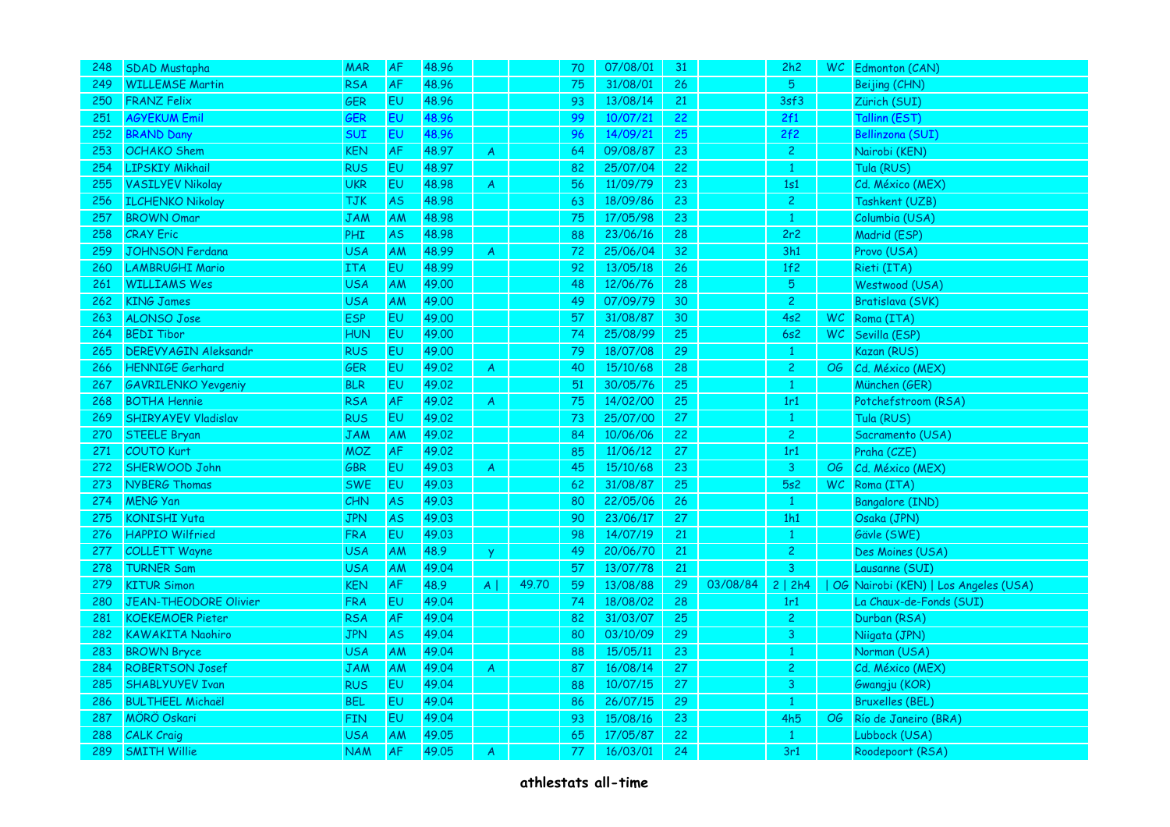| 248 | <b>SDAD Mustapha</b>        | <b>MAR</b> | <b>AF</b> | 48.96 |                |       | 70 | 07/08/01 | 31 |          | 2h2            |    | WC Edmonton (CAN)                    |
|-----|-----------------------------|------------|-----------|-------|----------------|-------|----|----------|----|----------|----------------|----|--------------------------------------|
| 249 | <b>WILLEMSE Martin</b>      | <b>RSA</b> | AF        | 48.96 |                |       | 75 | 31/08/01 | 26 |          | $5^{\circ}$    |    | Beijing (CHN)                        |
| 250 | <b>FRANZ Felix</b>          | GER        | EU        | 48.96 |                |       | 93 | 13/08/14 | 21 |          | 3sf3           |    | Zürich (SUI)                         |
| 251 | <b>AGYEKUM Emil</b>         | <b>GER</b> | EU        | 48.96 |                |       | 99 | 10/07/21 | 22 |          | 2f1            |    | Tallinn (EST)                        |
| 252 | <b>BRAND Dany</b>           | SUI        | EU        | 48.96 |                |       | 96 | 14/09/21 | 25 |          | 2f2            |    | <b>Bellinzona (SUI)</b>              |
| 253 | <b>OCHAKO</b> Shem          | <b>KEN</b> | AF        | 48.97 | $\overline{A}$ |       | 64 | 09/08/87 | 23 |          | $\overline{2}$ |    | Nairobi (KEN)                        |
| 254 | <b>LIPSKIY Mikhail</b>      | <b>RUS</b> | <b>EU</b> | 48.97 |                |       | 82 | 25/07/04 | 22 |          | $\mathbf{1}$   |    | Tula (RUS)                           |
| 255 | <b>VASILYEV Nikolay</b>     | <b>UKR</b> | EU        | 48.98 | A              |       | 56 | 11/09/79 | 23 |          | 1s1            |    | Cd. México (MEX)                     |
| 256 | <b>ILCHENKO Nikolay</b>     | <b>TJK</b> | <b>AS</b> | 48.98 |                |       | 63 | 18/09/86 | 23 |          | 2 <sup>1</sup> |    | Tashkent (UZB)                       |
| 257 | <b>BROWN Omar</b>           | <b>JAM</b> | AM        | 48.98 |                |       | 75 | 17/05/98 | 23 |          | $\mathbf{1}$   |    | Columbia (USA)                       |
| 258 | <b>CRAY Eric</b>            | <b>PHI</b> | <b>AS</b> | 48.98 |                |       | 88 | 23/06/16 | 28 |          | 2r2            |    | Madrid (ESP)                         |
| 259 | <b>JOHNSON Ferdana</b>      | <b>USA</b> | AM        | 48.99 | A              |       | 72 | 25/06/04 | 32 |          | 3h1            |    | Provo (USA)                          |
| 260 | <b>LAMBRUGHI Mario</b>      | <b>ITA</b> | EU        | 48.99 |                |       | 92 | 13/05/18 | 26 |          | 1f2            |    | Rieti (ITA)                          |
| 261 | <b>WILLIAMS Wes</b>         | <b>USA</b> | AM        | 49.00 |                |       | 48 | 12/06/76 | 28 |          | 5 <sup>1</sup> |    | Westwood (USA)                       |
| 262 | <b>KING James</b>           | <b>USA</b> | AM        | 49.00 |                |       | 49 | 07/09/79 | 30 |          | $\overline{c}$ |    | Bratislava (SVK)                     |
| 263 | <b>ALONSO Jose</b>          | <b>ESP</b> | EU.       | 49.00 |                |       | 57 | 31/08/87 | 30 |          | 4s2            |    | WC Roma (ITA)                        |
| 264 | <b>BEDI Tibor</b>           | <b>HUN</b> | EU        | 49.00 |                |       | 74 | 25/08/99 | 25 |          | 6s2            | WC | Sevilla (ESP)                        |
| 265 | <b>DEREVYAGIN Aleksandr</b> | <b>RUS</b> | <b>EU</b> | 49.00 |                |       | 79 | 18/07/08 | 29 |          | $\mathbf{1}$   |    | Kazan (RUS)                          |
| 266 | HENNIGE Gerhard             | <b>GER</b> | EU        | 49.02 | A              |       | 40 | 15/10/68 | 28 |          | $\overline{2}$ | OG | Cd. México (MEX)                     |
| 267 | <b>GAVRILENKO Yevgeniy</b>  | <b>BLR</b> | EU        | 49.02 |                |       | 51 | 30/05/76 | 25 |          | $\mathbf{1}$   |    | München (GER)                        |
| 268 | <b>BOTHA Hennie</b>         | <b>RSA</b> | AF        | 49.02 | A              |       | 75 | 14/02/00 | 25 |          | 1r1            |    | Potchefstroom (RSA)                  |
| 269 | <b>SHIRYAYEV Vladislav</b>  | <b>RUS</b> | EU        | 49.02 |                |       | 73 | 25/07/00 | 27 |          | $\mathbf{1}$   |    | Tula (RUS)                           |
| 270 | <b>STEELE Bryan</b>         | <b>JAM</b> | AM        | 49.02 |                |       | 84 | 10/06/06 | 22 |          | 2 <sup>1</sup> |    | Sacramento (USA)                     |
| 271 | <b>COUTO Kurt</b>           | <b>MOZ</b> | AF        | 49.02 |                |       | 85 | 11/06/12 | 27 |          | 1r1            |    | Praha (CZE)                          |
| 272 | SHERWOOD John               | GBR        | <b>EU</b> | 49.03 | A              |       | 45 | 15/10/68 | 23 |          | 3              | OG | Cd. México (MEX)                     |
| 273 | NYBERG Thomas               | <b>SWE</b> | EU        | 49.03 |                |       | 62 | 31/08/87 | 25 |          | 5s2            |    | WC Roma (ITA)                        |
| 274 | <b>MENG Yan</b>             | CHN        | <b>AS</b> | 49.03 |                |       | 80 | 22/05/06 | 26 |          | $\mathbf{1}$   |    | <b>Bangalore (IND)</b>               |
| 275 | <b>KONISHI Yuta</b>         | <b>JPN</b> | <b>AS</b> | 49.03 |                |       | 90 | 23/06/17 | 27 |          | 1h1            |    | Osaka (JPN)                          |
| 276 | <b>HAPPIO Wilfried</b>      | <b>FRA</b> | EU        | 49.03 |                |       | 98 | 14/07/19 | 21 |          | $\mathbf{1}$   |    | Gävle (SWE)                          |
| 277 | <b>COLLETT Wayne</b>        | <b>USA</b> | AM        | 48.9  | <b>y</b>       |       | 49 | 20/06/70 | 21 |          | $\overline{2}$ |    | Des Moines (USA)                     |
| 278 | <b>TURNER Sam</b>           | <b>USA</b> | <b>AM</b> | 49.04 |                |       | 57 | 13/07/78 | 21 |          | $\overline{3}$ |    | Lausanne (SUI)                       |
| 279 | <b>KITUR Simon</b>          | <b>KEN</b> | AF        | 48.9  | $A \mid$       | 49.70 | 59 | 13/08/88 | 29 | 03/08/84 | 2   2h4        |    | OG Nairobi (KEN)   Los Angeles (USA) |
| 280 | JEAN-THEODORE Olivier       | <b>FRA</b> | <b>EU</b> | 49.04 |                |       | 74 | 18/08/02 | 28 |          | 1r1            |    | La Chaux-de-Fonds (SUI)              |
| 281 | <b>KOEKEMOER Pieter</b>     | <b>RSA</b> | <b>AF</b> | 49.04 |                |       | 82 | 31/03/07 | 25 |          | $\overline{2}$ |    | Durban (RSA)                         |
| 282 | <b>KAWAKITA Naohiro</b>     | <b>JPN</b> | <b>AS</b> | 49.04 |                |       | 80 | 03/10/09 | 29 |          | 3              |    | Niigata (JPN)                        |
| 283 | <b>BROWN Bryce</b>          | <b>USA</b> | AM        | 49.04 |                |       | 88 | 15/05/11 | 23 |          | $\mathbf{1}$   |    | Norman (USA)                         |
| 284 | <b>ROBERTSON Josef</b>      | JAM        | AM        | 49.04 | A              |       | 87 | 16/08/14 | 27 |          | 2 <sup>1</sup> |    | Cd. México (MEX)                     |
| 285 | <b>SHABLYUYEV Ivan</b>      | <b>RUS</b> | <b>EU</b> | 49.04 |                |       | 88 | 10/07/15 | 27 |          | 3              |    | Gwangju (KOR)                        |
| 286 | <b>BULTHEEL Michaël</b>     | <b>BEL</b> | EU        | 49.04 |                |       | 86 | 26/07/15 | 29 |          | $\mathbf{1}$   |    | <b>Bruxelles (BEL)</b>               |
| 287 | <b>MÖRÖ Oskari</b>          | <b>FIN</b> | EU        | 49.04 |                |       | 93 | 15/08/16 | 23 |          | 4h5            | OG | Río de Janeiro (BRA)                 |
| 288 | <b>CALK Craig</b>           | <b>USA</b> | AM        | 49.05 |                |       | 65 | 17/05/87 | 22 |          | $\mathbf{1}$   |    | Lubbock (USA)                        |
| 289 | <b>SMITH Willie</b>         | <b>NAM</b> | <b>AF</b> | 49.05 | A              |       | 77 | 16/03/01 | 24 |          | 3r1            |    | Roodepoort (RSA)                     |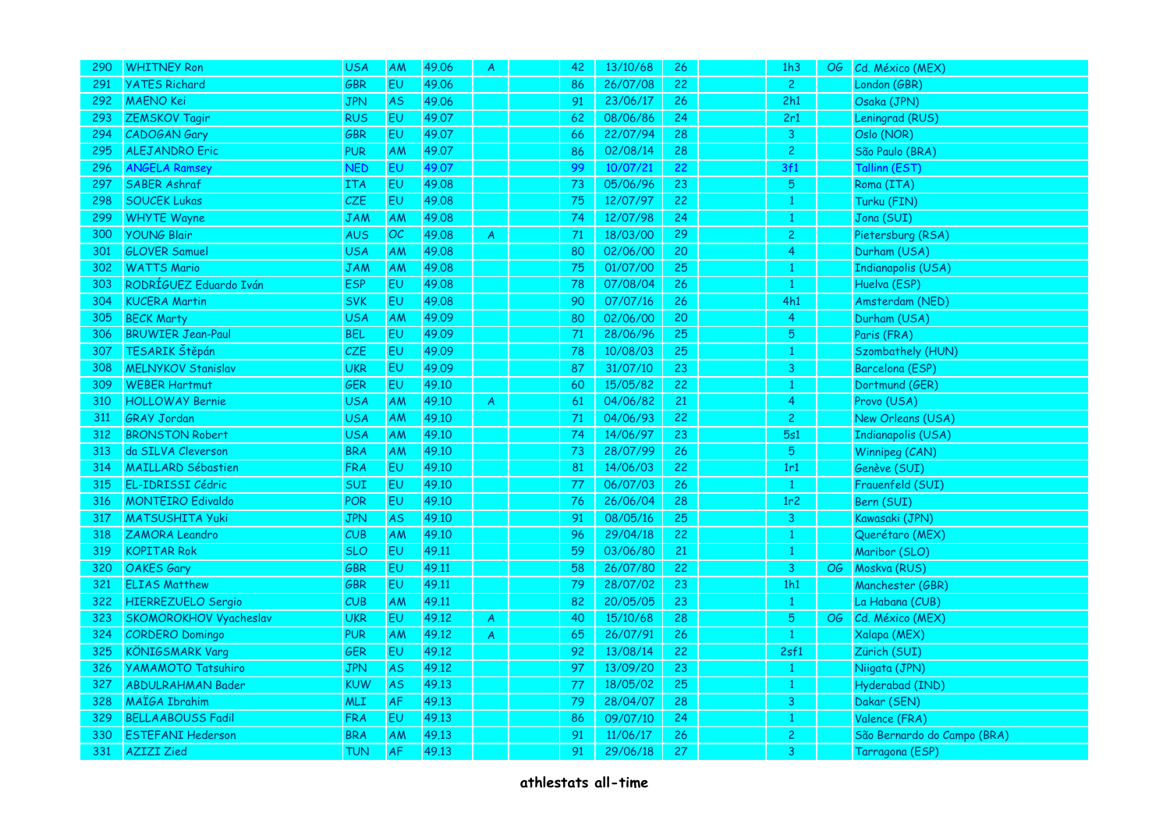| 290 | <b>WHITNEY Ron</b>        | <b>USA</b> | AM        | 49.06 | A              | 42 | 13/10/68 | 26 | 1h3             | OG | Cd. México (MEX)            |
|-----|---------------------------|------------|-----------|-------|----------------|----|----------|----|-----------------|----|-----------------------------|
| 291 | <b>YATES Richard</b>      | <b>GBR</b> | <b>EU</b> | 49.06 |                | 86 | 26/07/08 | 22 | $\overline{2}$  |    | London (GBR)                |
| 292 | <b>MAENO</b> Kei          | <b>JPN</b> | <b>AS</b> | 49.06 |                | 91 | 23/06/17 | 26 | 2h1             |    | Osaka (JPN)                 |
| 293 | <b>ZEMSKOV Tagir</b>      | <b>RUS</b> | EU.       | 49.07 |                | 62 | 08/06/86 | 24 | 2r1             |    | Leningrad (RUS)             |
| 294 | CADOGAN Gary              | GBR        | EU        | 49.07 |                | 66 | 22/07/94 | 28 | $\overline{3}$  |    | Oslo (NOR)                  |
| 295 | <b>ALEJANDRO Eric</b>     | <b>PUR</b> | AM        | 49.07 |                | 86 | 02/08/14 | 28 | $\overline{c}$  |    | São Paulo (BRA)             |
| 296 | <b>ANGELA Ramsey</b>      | <b>NED</b> | EU.       | 49.07 |                | 99 | 10/07/21 | 22 | 3f1             |    | Tallinn (EST)               |
| 297 | <b>SABER Ashraf</b>       | <b>ITA</b> | EU        | 49.08 |                | 73 | 05/06/96 | 23 | 5               |    | Roma (ITA)                  |
| 298 | <b>SOUCEK Lukas</b>       | CZE        | EU        | 49.08 |                | 75 | 12/07/97 | 22 |                 |    | Turku (FIN)                 |
| 299 | <b>WHYTE Wayne</b>        | <b>JAM</b> | AM        | 49.08 |                | 74 | 12/07/98 | 24 | $\mathbf{1}$    |    | Jona (SUI)                  |
| 300 | <b>YOUNG Blair</b>        | <b>AUS</b> | OC        | 49.08 | A              | 71 | 18/03/00 | 29 | $\overline{c}$  |    | Pietersburg (RSA)           |
| 301 | <b>GLOVER Samuel</b>      | <b>USA</b> | AM        | 49.08 |                | 80 | 02/06/00 | 20 | 4               |    | Durham (USA)                |
| 302 | <b>WATTS Mario</b>        | JAM        | AM        | 49.08 |                | 75 | 01/07/00 | 25 |                 |    | <b>Indianapolis (USA)</b>   |
| 303 | RODRÍGUEZ Eduardo Iván    | <b>ESP</b> | <b>EU</b> | 49.08 |                | 78 | 07/08/04 | 26 | $\mathbf{1}$    |    | Huelva (ESP)                |
| 304 | <b>KUCERA Martin</b>      | <b>SVK</b> | <b>EU</b> | 49.08 |                | 90 | 07/07/16 | 26 | 4h1             |    | Amsterdam (NED)             |
| 305 | <b>BECK Marty</b>         | <b>USA</b> | AM        | 49.09 |                | 80 | 02/06/00 | 20 | 4               |    | Durham (USA)                |
| 306 | <b>BRUWIER Jean-Paul</b>  | <b>BEL</b> | <b>EU</b> | 49.09 |                | 71 | 28/06/96 | 25 | 5               |    | Paris (FRA)                 |
| 307 | TESARIK Štěpán            | CZE        | <b>EU</b> | 49.09 |                | 78 | 10/08/03 | 25 | 1               |    | Szombathely (HUN)           |
| 308 | <b>MELNYKOV Stanislav</b> | <b>UKR</b> | EU        | 49.09 |                | 87 | 31/07/10 | 23 | 3               |    | Barcelona (ESP)             |
| 309 | <b>WEBER Hartmut</b>      | GER        | <b>EU</b> | 49.10 |                | 60 | 15/05/82 | 22 |                 |    | Dortmund (GER)              |
| 310 | <b>HOLLOWAY Bernie</b>    | <b>USA</b> | AM        | 49.10 | $\overline{A}$ | 61 | 04/06/82 | 21 | 4               |    | Provo (USA)                 |
| 311 | <b>GRAY Jordan</b>        | <b>USA</b> | <b>AM</b> | 49.10 |                | 71 | 04/06/93 | 22 | $\overline{c}$  |    | New Orleans (USA)           |
| 312 | <b>BRONSTON Robert</b>    | <b>USA</b> | <b>AM</b> | 49.10 |                | 74 | 14/06/97 | 23 | 5s1             |    | <b>Indianapolis (USA)</b>   |
| 313 | da SILVA Cleverson        | <b>BRA</b> | AM        | 49.10 |                | 73 | 28/07/99 | 26 | 5 <sub>o</sub>  |    | Winnipeg (CAN)              |
| 314 | <b>MAILLARD Sébastien</b> | <b>FRA</b> | EV.       | 49.10 |                | 81 | 14/06/03 | 22 | 1r1             |    | Genève (SUI)                |
| 315 | EL-IDRISSI Cédric         | SUI        | EU        | 49.10 |                | 77 | 06/07/03 | 26 | $\mathbf{1}$    |    | Frauenfeld (SUI)            |
| 316 | <b>MONTEIRO Edivaldo</b>  | POR        | EU        | 49.10 |                | 76 | 26/06/04 | 28 | 1r <sub>2</sub> |    | Bern (SUI)                  |
| 317 | <b>MATSUSHITA Yuki</b>    | <b>JPN</b> | <b>AS</b> | 49.10 |                | 91 | 08/05/16 | 25 | $\mathbf{3}$    |    | Kawasaki (JPN)              |
| 318 | <b>ZAMORA Leandro</b>     | CUB        | AM        | 49.10 |                | 96 | 29/04/18 | 22 |                 |    | Querétaro (MEX)             |
| 319 | <b>KOPITAR Rok</b>        | <b>SLO</b> | <b>EU</b> | 49.11 |                | 59 | 03/06/80 | 21 |                 |    | Maribor (SLO)               |
| 320 | <b>OAKES Gary</b>         | GBR        | EU        | 49.11 |                | 58 | 26/07/80 | 22 | $\overline{3}$  | OG | Moskva (RUS)                |
| 321 | <b>ELIAS Matthew</b>      | GBR        | <b>EU</b> | 49.11 |                | 79 | 28/07/02 | 23 | 1h1             |    | Manchester (GBR)            |
| 322 | <b>HIERREZUELO Sergio</b> | CUB        | AM        | 49.11 |                | 82 | 20/05/05 | 23 |                 |    | La Habana (CUB)             |
| 323 | SKOMOROKHOV Vyacheslav    | <b>UKR</b> | <b>EU</b> | 49.12 | $\mathsf{A}$   | 40 | 15/10/68 | 28 | 5               | OG | Cd. México (MEX)            |
| 324 | <b>CORDERO Domingo</b>    | <b>PUR</b> | AM        | 49.12 | $\overline{A}$ | 65 | 26/07/91 | 26 | $\mathbf{1}$    |    | Xalapa (MEX)                |
| 325 | <b>KÖNIGSMARK Varg</b>    | GER        | <b>EU</b> | 49.12 |                | 92 | 13/08/14 | 22 | 2sf1            |    | Zürich (SUI)                |
| 326 | <b>YAMAMOTO Tatsuhiro</b> | <b>JPN</b> | <b>AS</b> | 49.12 |                | 97 | 13/09/20 | 23 |                 |    | Niigata (JPN)               |
| 327 | <b>ABDULRAHMAN Bader</b>  | <b>KUW</b> | <b>AS</b> | 49.13 |                | 77 | 18/05/02 | 25 | $\mathbf{1}$    |    | Hyderabad (IND)             |
| 328 | MAIGA Ibrahim             | MLI        | <b>AF</b> | 49.13 |                | 79 | 28/04/07 | 28 | 3               |    | Dakar (SEN)                 |
| 329 | <b>BELLAABOUSS Fadil</b>  | <b>FRA</b> | EU        | 49.13 |                | 86 | 09/07/10 | 24 |                 |    | Valence (FRA)               |
| 330 | <b>ESTEFANI Hederson</b>  | <b>BRA</b> | AM        | 49.13 |                | 91 | 11/06/17 | 26 | $\overline{c}$  |    | São Bernardo do Campo (BRA) |
| 331 | <b>AZIZI</b> Zied         | <b>TUN</b> | <b>AF</b> | 49.13 |                | 91 | 29/06/18 | 27 | 3               |    | Tarragona (ESP)             |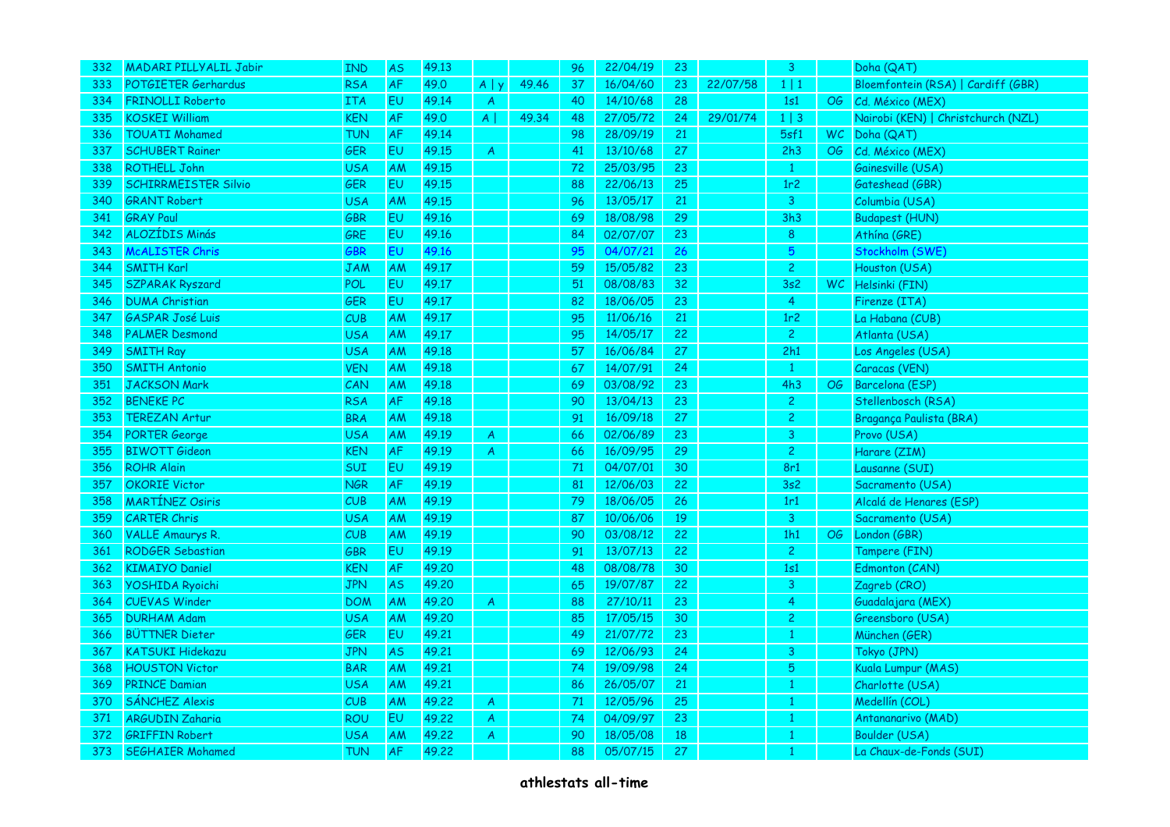| 332 | <b>MADARI PILLYALIL Jabir</b> | <b>IND</b> | <b>AS</b> | 49.13 |                |       | 96 | 22/04/19 | 23 |          | 3 <sup>°</sup>  |                 | Doha (QAT)                         |
|-----|-------------------------------|------------|-----------|-------|----------------|-------|----|----------|----|----------|-----------------|-----------------|------------------------------------|
| 333 | POTGIETER Gerhardus           | <b>RSA</b> | <b>AF</b> | 49.0  | $A \mid y$     | 49.46 | 37 | 16/04/60 | 23 | 22/07/58 | $1 \mid 1$      |                 | Bloemfontein (RSA)   Cardiff (GBR) |
| 334 | <b>FRINOLLI Roberto</b>       | <b>ITA</b> | EU        | 49.14 | $\overline{A}$ |       | 40 | 14/10/68 | 28 |          | 1s1             | OG              | Cd. México (MEX)                   |
| 335 | <b>KOSKEI William</b>         | KEN        | <b>AF</b> | 49.0  | $A \mid$       | 49.34 | 48 | 27/05/72 | 24 | 29/01/74 | $1 \mid 3$      |                 | Nairobi (KEN)   Christchurch (NZL) |
| 336 | <b>TOUATI Mohamed</b>         | <b>TUN</b> | AF        | 49.14 |                |       | 98 | 28/09/19 | 21 |          | 5sf1            |                 | WC Doha (QAT)                      |
| 337 | <b>SCHUBERT Rainer</b>        | <b>GER</b> | EU        | 49.15 | $\mathsf{A}$   |       | 41 | 13/10/68 | 27 |          | 2h3             | OG              | Cd. México (MEX)                   |
| 338 | <b>ROTHELL John</b>           | <b>USA</b> | AM        | 49.15 |                |       | 72 | 25/03/95 | 23 |          | $\mathbf{1}$    |                 | Gainesville (USA)                  |
| 339 | <b>SCHIRRMEISTER Silvio</b>   | GER        | EU        | 49.15 |                |       | 88 | 22/06/13 | 25 |          | 1r <sub>2</sub> |                 | Gateshead (GBR)                    |
| 340 | <b>GRANT Robert</b>           | <b>USA</b> | <b>AM</b> | 49.15 |                |       | 96 | 13/05/17 | 21 |          | 3 <sup>°</sup>  |                 | Columbia (USA)                     |
| 341 | <b>GRAY Paul</b>              | GBR        | EU        | 49.16 |                |       | 69 | 18/08/98 | 29 |          | 3h3             |                 | <b>Budapest (HUN)</b>              |
| 342 | ALOZÍDIS Minás                | GRE        | EU        | 49.16 |                |       | 84 | 02/07/07 | 23 |          | 8               |                 | Athina (GRE)                       |
| 343 | <b>McALISTER Chris</b>        | GBR        | EU        | 49.16 |                |       | 95 | 04/07/21 | 26 |          | $5\overline{5}$ |                 | Stockholm (SWE)                    |
| 344 | <b>SMITH Karl</b>             | JAM        | <b>AM</b> | 49.17 |                |       | 59 | 15/05/82 | 23 |          | $\overline{c}$  |                 | Houston (USA)                      |
| 345 | <b>SZPARAK Ryszard</b>        | POL        | EU        | 49.17 |                |       | 51 | 08/08/83 | 32 |          | 3s2             |                 | WC Helsinki (FIN)                  |
| 346 | <b>DUMA Christian</b>         | GER        | EU        | 49.17 |                |       | 82 | 18/06/05 | 23 |          | $\overline{4}$  |                 | Firenze (ITA)                      |
| 347 | <b>GASPAR José Luis</b>       | CUB        | <b>AM</b> | 49.17 |                |       | 95 | 11/06/16 | 21 |          | 1r <sub>2</sub> |                 | La Habana (CUB)                    |
| 348 | <b>PALMER Desmond</b>         | <b>USA</b> | <b>AM</b> | 49.17 |                |       | 95 | 14/05/17 | 22 |          | $\mathbf{2}$    |                 | Atlanta (USA)                      |
| 349 | <b>SMITH Ray</b>              | <b>USA</b> | <b>AM</b> | 49.18 |                |       | 57 | 16/06/84 | 27 |          | 2h1             |                 | Los Angeles (USA)                  |
| 350 | <b>SMITH Antonio</b>          | <b>VEN</b> | AM        | 49.18 |                |       | 67 | 14/07/91 | 24 |          | $\mathbf{1}$    |                 | Caracas (VEN)                      |
| 351 | <b>JACKSON Mark</b>           | CAN        | <b>AM</b> | 49.18 |                |       | 69 | 03/08/92 | 23 |          | 4h3             | OG              | Barcelona (ESP)                    |
| 352 | <b>BENEKE PC</b>              | <b>RSA</b> | AF        | 49.18 |                |       | 90 | 13/04/13 | 23 |          | $\overline{2}$  |                 | Stellenbosch (RSA)                 |
| 353 | <b>TEREZAN Artur</b>          | <b>BRA</b> | <b>AM</b> | 49.18 |                |       | 91 | 16/09/18 | 27 |          | $\overline{c}$  |                 | Bragança Paulista (BRA)            |
| 354 | <b>PORTER George</b>          | <b>USA</b> | AM        | 49.19 | A              |       | 66 | 02/06/89 | 23 |          | 3 <sup>7</sup>  |                 | Provo (USA)                        |
| 355 | <b>BIWOTT Gideon</b>          | <b>KEN</b> | <b>AF</b> | 49.19 | $\mathsf{A}$   |       | 66 | 16/09/95 | 29 |          | 2 <sup>1</sup>  |                 | Harare (ZIM)                       |
| 356 | <b>ROHR Alain</b>             | SUI        | <b>EU</b> | 49.19 |                |       | 71 | 04/07/01 | 30 |          | 8r1             |                 | Lausanne (SUI)                     |
| 357 | <b>OKORIE Victor</b>          | <b>NGR</b> | <b>AF</b> | 49.19 |                |       | 81 | 12/06/03 | 22 |          | 3s2             |                 | Sacramento (USA)                   |
| 358 | <b>MARTÍNEZ Osiris</b>        | CUB        | <b>AM</b> | 49.19 |                |       | 79 | 18/06/05 | 26 |          | 1r1             |                 | Alcalá de Henares (ESP)            |
| 359 | <b>CARTER Chris</b>           | <b>USA</b> | AM        | 49.19 |                |       | 87 | 10/06/06 | 19 |          | 3 <sup>°</sup>  |                 | Sacramento (USA)                   |
| 360 | <b>VALLE Amaurys R.</b>       | CUB        | <b>AM</b> | 49.19 |                |       | 90 | 03/08/12 | 22 |          | 1h1             | $\overline{OG}$ | London (GBR)                       |
| 361 | <b>RODGER Sebastian</b>       | <b>GBR</b> | <b>EU</b> | 49.19 |                |       | 91 | 13/07/13 | 22 |          | $\overline{2}$  |                 | Tampere (FIN)                      |
| 362 | <b>KIMAIYO Daniel</b>         | <b>KEN</b> | AF        | 49.20 |                |       | 48 | 08/08/78 | 30 |          | 1s1             |                 | Edmonton (CAN)                     |
| 363 | <b>YOSHIDA Ryoichi</b>        | JPN        | <b>AS</b> | 49.20 |                |       | 65 | 19/07/87 | 22 |          | 3               |                 | Zagreb (CRO)                       |
| 364 | <b>CUEVAS Winder</b>          | <b>DOM</b> | AM        | 49.20 | $\overline{A}$ |       | 88 | 27/10/11 | 23 |          | 4               |                 | Guadalajara (MEX)                  |
| 365 | <b>DURHAM Adam</b>            | <b>USA</b> | <b>AM</b> | 49.20 |                |       | 85 | 17/05/15 | 30 |          | $\overline{2}$  |                 | Greensboro (USA)                   |
| 366 | <b>BÜTTNER Dieter</b>         | <b>GER</b> | <b>EU</b> | 49.21 |                |       | 49 | 21/07/72 | 23 |          | $\mathbf{1}$    |                 | München (GER)                      |
| 367 | <b>KATSUKI Hidekazu</b>       | <b>JPN</b> | <b>AS</b> | 49.21 |                |       | 69 | 12/06/93 | 24 |          | 3               |                 | Tokyo (JPN)                        |
| 368 | <b>HOUSTON Victor</b>         | <b>BAR</b> | AM        | 49.21 |                |       | 74 | 19/09/98 | 24 |          | 5               |                 | Kuala Lumpur (MAS)                 |
| 369 | <b>PRINCE Damian</b>          | <b>USA</b> | AM        | 49.21 |                |       | 86 | 26/05/07 | 21 |          | $\mathbf{1}$    |                 | Charlotte (USA)                    |
| 370 | <b>SÁNCHEZ Alexis</b>         | CUB        | <b>AM</b> | 49.22 | A              |       | 71 | 12/05/96 | 25 |          | 1               |                 | Medellín (COL)                     |
| 371 | <b>ARGUDIN Zaharia</b>        | <b>ROU</b> | EU        | 49.22 | $\mathsf{A}$   |       | 74 | 04/09/97 | 23 |          |                 |                 | Antananarivo (MAD)                 |
| 372 | <b>GRIFFIN Robert</b>         | USA        | AM        | 49.22 | A              |       | 90 | 18/05/08 | 18 |          | 1               |                 | Boulder (USA)                      |
| 373 | <b>SEGHAIER Mohamed</b>       | TUN        | <b>AF</b> | 49.22 |                |       | 88 | 05/07/15 | 27 |          |                 |                 | La Chaux-de-Fonds (SUI)            |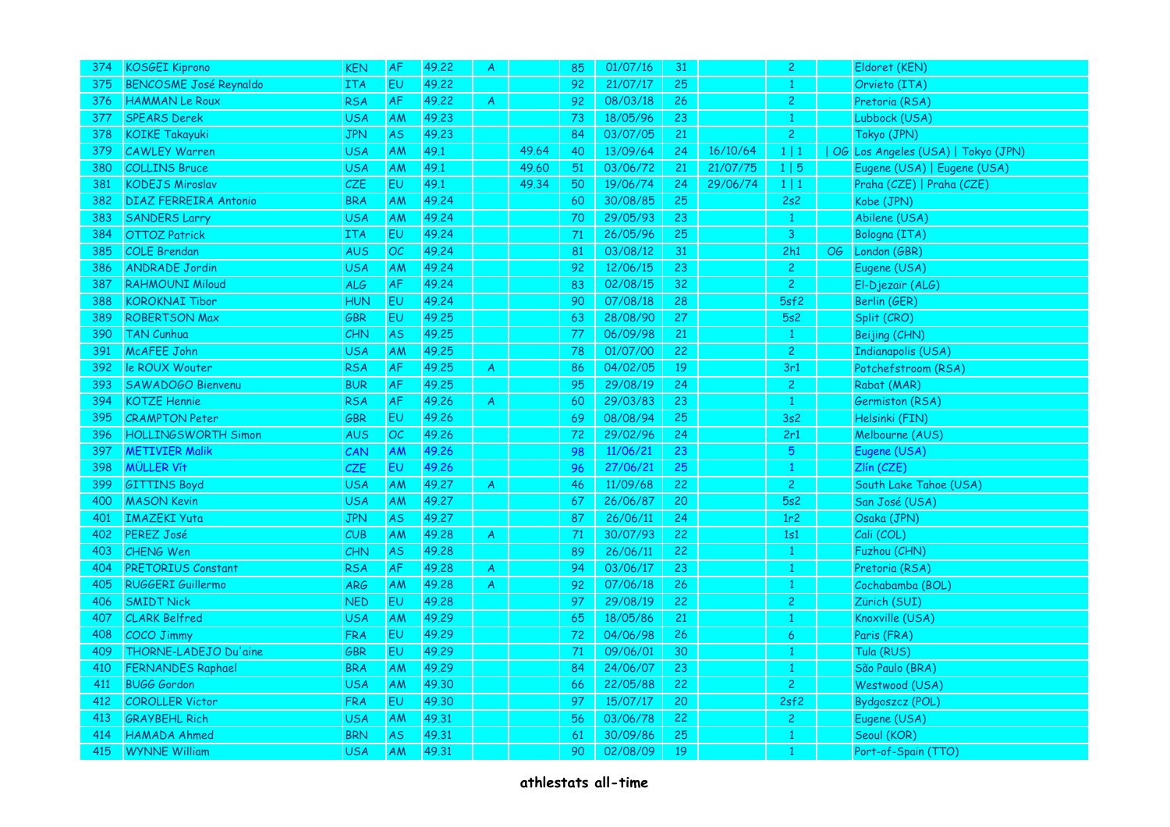| 374 | <b>KOSGEI Kiprono</b>         | <b>KEN</b> | <b>AF</b> | 49.22 | $\overline{\mathsf{A}}$ |       | 85 | 01/07/16 | 31 |          | $\overline{2}$  |    | Eldoret (KEN)                      |
|-----|-------------------------------|------------|-----------|-------|-------------------------|-------|----|----------|----|----------|-----------------|----|------------------------------------|
| 375 | <b>BENCOSME José Reynaldo</b> | <b>ITA</b> | <b>EU</b> | 49.22 |                         |       | 92 | 21/07/17 | 25 |          |                 |    | Orvieto (ITA)                      |
| 376 | <b>HAMMAN Le Roux</b>         | <b>RSA</b> | <b>AF</b> | 49.22 | $\mathsf{A}$            |       | 92 | 08/03/18 | 26 |          | $\overline{2}$  |    | Pretoria (RSA)                     |
| 377 | <b>SPEARS Derek</b>           | <b>USA</b> | <b>AM</b> | 49.23 |                         |       | 73 | 18/05/96 | 23 |          | $\mathbf{1}$    |    | Lubbock (USA)                      |
| 378 | <b>KOIKE Takayuki</b>         | <b>JPN</b> | <b>AS</b> | 49.23 |                         |       | 84 | 03/07/05 | 21 |          | $\mathbf{2}$    |    | Tokyo (JPN)                        |
| 379 | <b>CAWLEY Warren</b>          | <b>USA</b> | AM        | 49.1  |                         | 49.64 | 40 | 13/09/64 | 24 | 16/10/64 | $1 \mid 1$      |    | OG Los Angeles (USA)   Tokyo (JPN) |
| 380 | <b>COLLINS Bruce</b>          | <b>USA</b> | <b>AM</b> | 49.1  |                         | 49.60 | 51 | 03/06/72 | 21 | 21/07/75 | 1 5             |    | Eugene (USA)   Eugene (USA)        |
| 381 | <b>KODEJS Miroslav</b>        | CZE        | <b>EU</b> | 49.1  |                         | 49.34 | 50 | 19/06/74 | 24 | 29/06/74 | $1 \mid 1$      |    | Praha (CZE)   Praha (CZE)          |
| 382 | <b>DIAZ FERREIRA Antonio</b>  | <b>BRA</b> | <b>AM</b> | 49.24 |                         |       | 60 | 30/08/85 | 25 |          | 2s2             |    | Kobe (JPN)                         |
| 383 | <b>SANDERS Larry</b>          | <b>USA</b> | AM        | 49.24 |                         |       | 70 | 29/05/93 | 23 |          | $\mathbf{1}$    |    | Abilene (USA)                      |
| 384 | <b>OTTOZ Patrick</b>          | ITA        | <b>EU</b> | 49.24 |                         |       | 71 | 26/05/96 | 25 |          | $\overline{3}$  |    | Bologna (ITA)                      |
| 385 | <b>COLE Brendan</b>           | <b>AUS</b> | OC        | 49.24 |                         |       | 81 | 03/08/12 | 31 |          | 2h1             | OG | London (GBR)                       |
| 386 | <b>ANDRADE Jordin</b>         | USA        | AM        | 49.24 |                         |       | 92 | 12/06/15 | 23 |          | $\overline{c}$  |    | Eugene (USA)                       |
| 387 | <b>RAHMOUNI Miloud</b>        | <b>ALG</b> | <b>AF</b> | 49.24 |                         |       | 83 | 02/08/15 | 32 |          | 2 <sup>1</sup>  |    | El-Djezaïr (ALG)                   |
| 388 | <b>KOROKNAI Tibor</b>         | <b>HUN</b> | EU        | 49.24 |                         |       | 90 | 07/08/18 | 28 |          | 5sf2            |    | Berlin (GER)                       |
| 389 | <b>ROBERTSON Max</b>          | <b>GBR</b> | <b>EU</b> | 49.25 |                         |       | 63 | 28/08/90 | 27 |          | 5s2             |    | Split (CRO)                        |
| 390 | <b>TAN Cunhua</b>             | CHN        | <b>AS</b> | 49.25 |                         |       | 77 | 06/09/98 | 21 |          | $\mathbf{1}$    |    | Beijing (CHN)                      |
| 391 | McAFEE John                   | <b>USA</b> | <b>AM</b> | 49.25 |                         |       | 78 | 01/07/00 | 22 |          | $\mathbf{2}$    |    | <b>Indianapolis (USA)</b>          |
| 392 | le ROUX Wouter                | <b>RSA</b> | <b>AF</b> | 49.25 | $\overline{A}$          |       | 86 | 04/02/05 | 19 |          | 3r1             |    | Potchefstroom (RSA)                |
| 393 | SAWADOGO Bienvenu             | <b>BUR</b> | <b>AF</b> | 49.25 |                         |       | 95 | 29/08/19 | 24 |          | $\overline{2}$  |    | Rabat (MAR)                        |
| 394 | <b>KOTZE Hennie</b>           | <b>RSA</b> | AF        | 49.26 | $\overline{A}$          |       | 60 | 29/03/83 | 23 |          | $\mathbf{1}$    |    | <b>Germiston (RSA)</b>             |
| 395 | <b>CRAMPTON Peter</b>         | GBR        | EU        | 49.26 |                         |       | 69 | 08/08/94 | 25 |          | 3s2             |    | Helsinki (FIN)                     |
| 396 | <b>HOLLINGSWORTH Simon</b>    | AUS        | OC        | 49.26 |                         |       | 72 | 29/02/96 | 24 |          | 2r1             |    | Melbourne (AUS)                    |
| 397 | <b>METIVIER Malik</b>         | CAN        | AM        | 49.26 |                         |       | 98 | 11/06/21 | 23 |          | $5\phantom{.0}$ |    | Eugene (USA)                       |
| 398 | <b>MÜLLER Vít</b>             | CZE        | <b>EU</b> | 49.26 |                         |       | 96 | 27/06/21 | 25 |          | $\mathbf{1}$    |    | Zlín (CZE)                         |
| 399 | <b>GITTINS Boyd</b>           | <b>USA</b> | AM        | 49.27 | $\overline{A}$          |       | 46 | 11/09/68 | 22 |          | $\overline{2}$  |    | South Lake Tahoe (USA)             |
| 400 | <b>MASON Kevin</b>            | USA        | <b>AM</b> | 49.27 |                         |       | 67 | 26/06/87 | 20 |          | 5s2             |    | San José (USA)                     |
| 401 | <b>IMAZEKI Yuta</b>           | <b>JPN</b> | <b>AS</b> | 49.27 |                         |       | 87 | 26/06/11 | 24 |          | 1r2             |    | Osaka (JPN)                        |
| 402 | PEREZ José                    | CUB        | AM        | 49.28 | $\boldsymbol{A}$        |       | 71 | 30/07/93 | 22 |          | 1s1             |    | Cali (COL)                         |
| 403 | CHENG Wen                     | CHN        | <b>AS</b> | 49.28 |                         |       | 89 | 26/06/11 | 22 |          |                 |    | Fuzhou (CHN)                       |
| 404 | <b>PRETORIUS Constant</b>     | <b>RSA</b> | AF        | 49.28 | $\mathsf{A}$            |       | 94 | 03/06/17 | 23 |          | $\mathbf{1}$    |    | Pretoria (RSA)                     |
| 405 | RUGGERI Guillermo             | ARG        | <b>AM</b> | 49.28 | A                       |       | 92 | 07/06/18 | 26 |          | $\mathbf{1}$    |    | Cochabamba (BOL)                   |
| 406 | <b>SMIDT Nick</b>             | <b>NED</b> | EU        | 49.28 |                         |       | 97 | 29/08/19 | 22 |          | $\overline{2}$  |    | Zürich (SUI)                       |
| 407 | <b>CLARK Belfred</b>          | <b>USA</b> | AM        | 49.29 |                         |       | 65 | 18/05/86 | 21 |          | 1               |    | Knoxville (USA)                    |
| 408 | <b>COCO Jimmy</b>             | <b>FRA</b> | <b>EU</b> | 49.29 |                         |       | 72 | 04/06/98 | 26 |          | 6               |    | Paris (FRA)                        |
| 409 | THORNE-LADEJO Du'aine         | GBR        | EU        | 49.29 |                         |       | 71 | 09/06/01 | 30 |          |                 |    | Tula (RUS)                         |
| 410 | <b>FERNANDES Raphael</b>      | <b>BRA</b> | <b>AM</b> | 49.29 |                         |       | 84 | 24/06/07 | 23 |          |                 |    | São Paulo (BRA)                    |
| 411 | <b>BUGG Gordon</b>            | <b>USA</b> | AM        | 49.30 |                         |       | 66 | 22/05/88 | 22 |          | 2 <sup>1</sup>  |    | Westwood (USA)                     |
| 412 | <b>COROLLER Victor</b>        | <b>FRA</b> | EU.       | 49.30 |                         |       | 97 | 15/07/17 | 20 |          | 2sf2            |    | <b>Bydgoszcz (POL)</b>             |
| 413 | <b>GRAYBEHL Rich</b>          | <b>USA</b> | AM        | 49.31 |                         |       | 56 | 03/06/78 | 22 |          | $\overline{c}$  |    | Eugene (USA)                       |
| 414 | <b>HAMADA Ahmed</b>           | <b>BRN</b> | <b>AS</b> | 49.31 |                         |       | 61 | 30/09/86 | 25 |          | 1               |    | Seoul (KOR)                        |
| 415 | <b>WYNNE William</b>          | <b>USA</b> | <b>AM</b> | 49.31 |                         |       | 90 | 02/08/09 | 19 |          |                 |    | Port-of-Spain (TTO)                |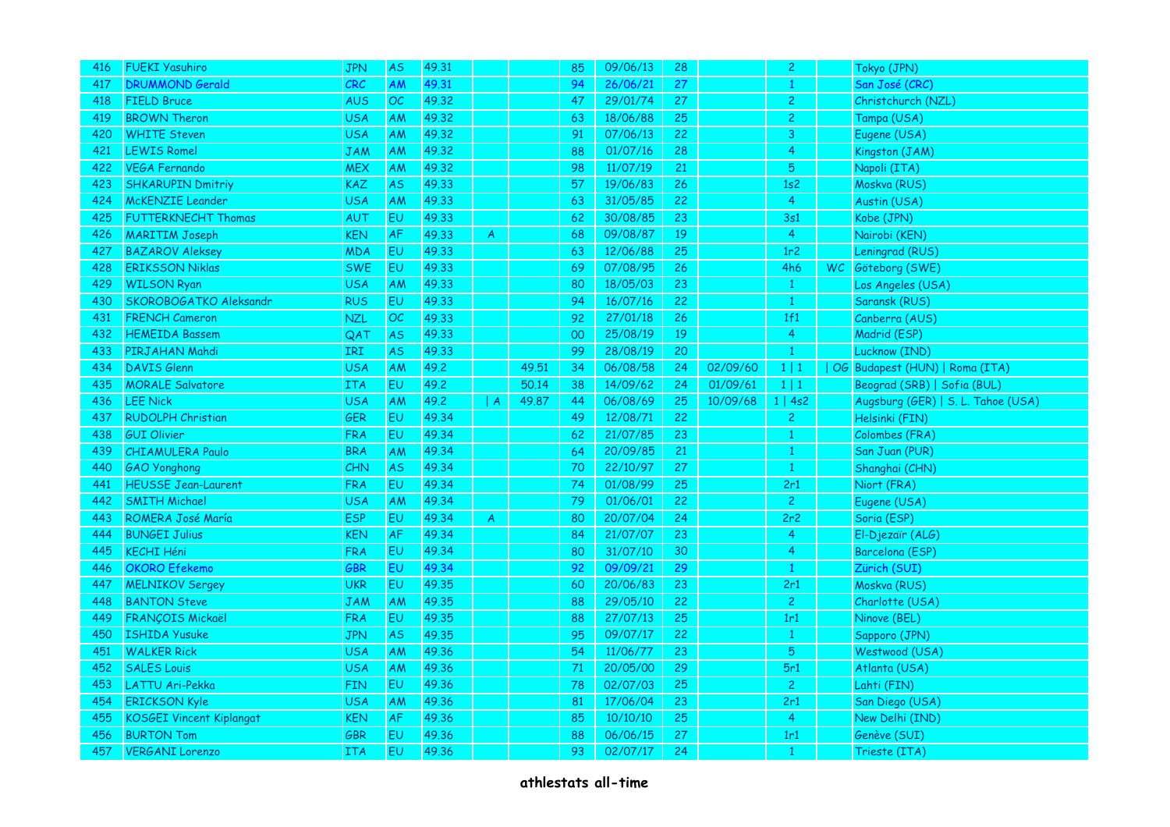| 416 | <b>FUEKI Yasuhiro</b>           | <b>JPN</b> | <b>AS</b> | 49.31 |   |       | 85     | 09/06/13 | 28 |          | $\overline{2}$ |      | Tokyo (JPN)                        |
|-----|---------------------------------|------------|-----------|-------|---|-------|--------|----------|----|----------|----------------|------|------------------------------------|
| 417 | <b>DRUMMOND Gerald</b>          | CRC        | AM        | 49.31 |   |       | 94     | 26/06/21 | 27 |          |                |      | San José (CRC)                     |
| 418 | <b>FIELD Bruce</b>              | <b>AUS</b> | OC        | 49.32 |   |       | 47     | 29/01/74 | 27 |          | $\mathbf{2}$   |      | Christchurch (NZL)                 |
| 419 | <b>BROWN Theron</b>             | USA        | <b>AM</b> | 49.32 |   |       | 63     | 18/06/88 | 25 |          | $\overline{2}$ |      | Tampa (USA)                        |
| 420 | <b>WHITE Steven</b>             | <b>USA</b> | AM        | 49.32 |   |       | 91     | 07/06/13 | 22 |          | $\mathbf{3}$   |      | Eugene (USA)                       |
| 421 | <b>LEWIS Romel</b>              | <b>JAM</b> | AM        | 49.32 |   |       | 88     | 01/07/16 | 28 |          | 4              |      | Kingston (JAM)                     |
| 422 | VEGA Fernando                   | <b>MEX</b> | AM        | 49.32 |   |       | 98     | 11/07/19 | 21 |          | 5              |      | Napoli (ITA)                       |
| 423 | <b>SHKARUPIN Dmitriy</b>        | <b>KAZ</b> | <b>AS</b> | 49.33 |   |       | 57     | 19/06/83 | 26 |          | 1s2            |      | Moskva (RUS)                       |
| 424 | <b>McKENZIE Leander</b>         | <b>USA</b> | AM        | 49.33 |   |       | 63     | 31/05/85 | 22 |          | $\overline{4}$ |      | Austin (USA)                       |
| 425 | <b>FUTTERKNECHT Thomas</b>      | <b>AUT</b> | <b>EU</b> | 49.33 |   |       | 62     | 30/08/85 | 23 |          | 3s1            |      | Kobe (JPN)                         |
| 426 | <b>MARITIM Joseph</b>           | <b>KEN</b> | AF        | 49.33 | A |       | 68     | 09/08/87 | 19 |          | $\overline{4}$ |      | Nairobi (KEN)                      |
| 427 | <b>BAZAROV Aleksey</b>          | <b>MDA</b> | EU        | 49.33 |   |       | 63     | 12/06/88 | 25 |          | 1r2            |      | Leningrad (RUS)                    |
| 428 | <b>ERIKSSON Niklas</b>          | <b>SWE</b> | EU        | 49.33 |   |       | 69     | 07/08/95 | 26 |          | 4h6            | WC . | Göteborg (SWE)                     |
| 429 | <b>WILSON Ryan</b>              | <b>USA</b> | AM        | 49.33 |   |       | 80     | 18/05/03 | 23 |          | $\bullet$      |      | Los Angeles (USA)                  |
| 430 | SKOROBOGATKO Aleksandr          | <b>RUS</b> | EU        | 49.33 |   |       | 94     | 16/07/16 | 22 |          | $\mathbf{1}$   |      | Saransk (RUS)                      |
| 431 | <b>FRENCH Cameron</b>           | <b>NZL</b> | OC        | 49.33 |   |       | 92     | 27/01/18 | 26 |          | 1f1            |      | Canberra (AUS)                     |
| 432 | <b>HEMEIDA Bassem</b>           | QAT        | <b>AS</b> | 49.33 |   |       | $00\,$ | 25/08/19 | 19 |          | $\overline{4}$ |      | Madrid (ESP)                       |
| 433 | PIRJAHAN Mahdi                  | IRI        | <b>AS</b> | 49.33 |   |       | 99     | 28/08/19 | 20 |          | $\mathbf{1}$   |      | Lucknow (IND)                      |
| 434 | <b>DAVIS Glenn</b>              | <b>USA</b> | AM        | 49.2  |   | 49.51 | 34     | 06/08/58 | 24 | 02/09/60 | 1 1            |      | OG Budapest (HUN)   Roma (ITA)     |
| 435 | <b>MORALE</b> Salvatore         | <b>ITA</b> | <b>EU</b> | 49.2  |   | 50.14 | 38     | 14/09/62 | 24 | 01/09/61 | $1 \mid 1$     |      | Beograd (SRB)   Sofia (BUL)        |
| 436 | <b>LEE Nick</b>                 | <b>USA</b> | AM        | 49.2  | A | 49.87 | 44     | 06/08/69 | 25 | 10/09/68 | 1   4s2        |      | Augsburg (GER)   S. L. Tahoe (USA) |
| 437 | <b>RUDOLPH Christian</b>        | GER        | EU        | 49.34 |   |       | 49     | 12/08/71 | 22 |          | $\mathbf{2}$   |      | Helsinki (FIN)                     |
| 438 | <b>GUI Olivier</b>              | <b>FRA</b> | EU        | 49.34 |   |       | 62     | 21/07/85 | 23 |          | $\mathbf{1}$   |      | Colombes (FRA)                     |
| 439 | <b>CHIAMULERA Paulo</b>         | <b>BRA</b> | AM        | 49.34 |   |       | 64     | 20/09/85 | 21 |          | $\mathbf{1}$   |      | San Juan (PUR)                     |
| 440 | <b>GAO</b> Yonghong             | CHN        | <b>AS</b> | 49.34 |   |       | 70     | 22/10/97 | 27 |          | 1              |      | Shanghai (CHN)                     |
| 441 | <b>HEUSSE Jean-Laurent</b>      | <b>FRA</b> | EU        | 49.34 |   |       | 74     | 01/08/99 | 25 |          | 2r1            |      | Niort (FRA)                        |
| 442 | <b>SMITH Michael</b>            | <b>USA</b> | AM        | 49.34 |   |       | 79     | 01/06/01 | 22 |          | $\overline{2}$ |      | Eugene (USA)                       |
| 443 | <b>ROMERA José María</b>        | <b>ESP</b> | <b>EU</b> | 49.34 | A |       | 80     | 20/07/04 | 24 |          | 2r2            |      | Soria (ESP)                        |
| 444 | <b>BUNGEI Julius</b>            | <b>KEN</b> | AF        | 49.34 |   |       | 84     | 21/07/07 | 23 |          | $\overline{4}$ |      | El-Djezaïr (ALG)                   |
| 445 | <b>KECHI Héni</b>               | <b>FRA</b> | <b>EU</b> | 49.34 |   |       | 80     | 31/07/10 | 30 |          | 4              |      | Barcelona (ESP)                    |
| 446 | <b>OKORO</b> Efekemo            | GBR        | <b>EU</b> | 49.34 |   |       | 92     | 09/09/21 | 29 |          | $\mathbf{1}$   |      | Zürich (SUI)                       |
| 447 | <b>MELNIKOV Sergey</b>          | <b>UKR</b> | EU        | 49.35 |   |       | 60     | 20/06/83 | 23 |          | 2r1            |      | Moskva (RUS)                       |
| 448 | <b>BANTON Steve</b>             | <b>JAM</b> | <b>AM</b> | 49.35 |   |       | 88     | 29/05/10 | 22 |          | 2 <sup>1</sup> |      | Charlotte (USA)                    |
| 449 | <b>FRANÇOIS Mickaël</b>         | <b>FRA</b> | EU.       | 49.35 |   |       | 88     | 27/07/13 | 25 |          | 1r1            |      | Ninove (BEL)                       |
| 450 | <b>ISHIDA Yusuke</b>            | <b>JPN</b> | <b>AS</b> | 49.35 |   |       | 95     | 09/07/17 | 22 |          | $\mathbf{1}$   |      | Sapporo (JPN)                      |
| 451 | <b>WALKER Rick</b>              | <b>USA</b> | AM        | 49.36 |   |       | 54     | 11/06/77 | 23 |          | $\sqrt{5}$     |      | Westwood (USA)                     |
| 452 | <b>SALES Louis</b>              | <b>USA</b> | AM        | 49.36 |   |       | 71     | 20/05/00 | 29 |          | 5r1            |      | Atlanta (USA)                      |
| 453 | LATTU Ari-Pekka                 | <b>FIN</b> | <b>EU</b> | 49.36 |   |       | 78     | 02/07/03 | 25 |          | 2 <sup>1</sup> |      | Lahti (FIN)                        |
| 454 | <b>ERICKSON Kyle</b>            | <b>USA</b> | AM        | 49.36 |   |       | 81     | 17/06/04 | 23 |          | 2r1            |      | San Diego (USA)                    |
| 455 | <b>KOSGEI Vincent Kiplangat</b> | <b>KEN</b> | <b>AF</b> | 49.36 |   |       | 85     | 10/10/10 | 25 |          | $\overline{4}$ |      | New Delhi (IND)                    |
| 456 | <b>BURTON Tom</b>               | GBR        | EU        | 49.36 |   |       | 88     | 06/06/15 | 27 |          | 1r1            |      | Genève (SUI)                       |
| 457 | <b>VERGANI Lorenzo</b>          | <b>ITA</b> | EU        | 49.36 |   |       | 93     | 02/07/17 | 24 |          |                |      | Trieste (ITA)                      |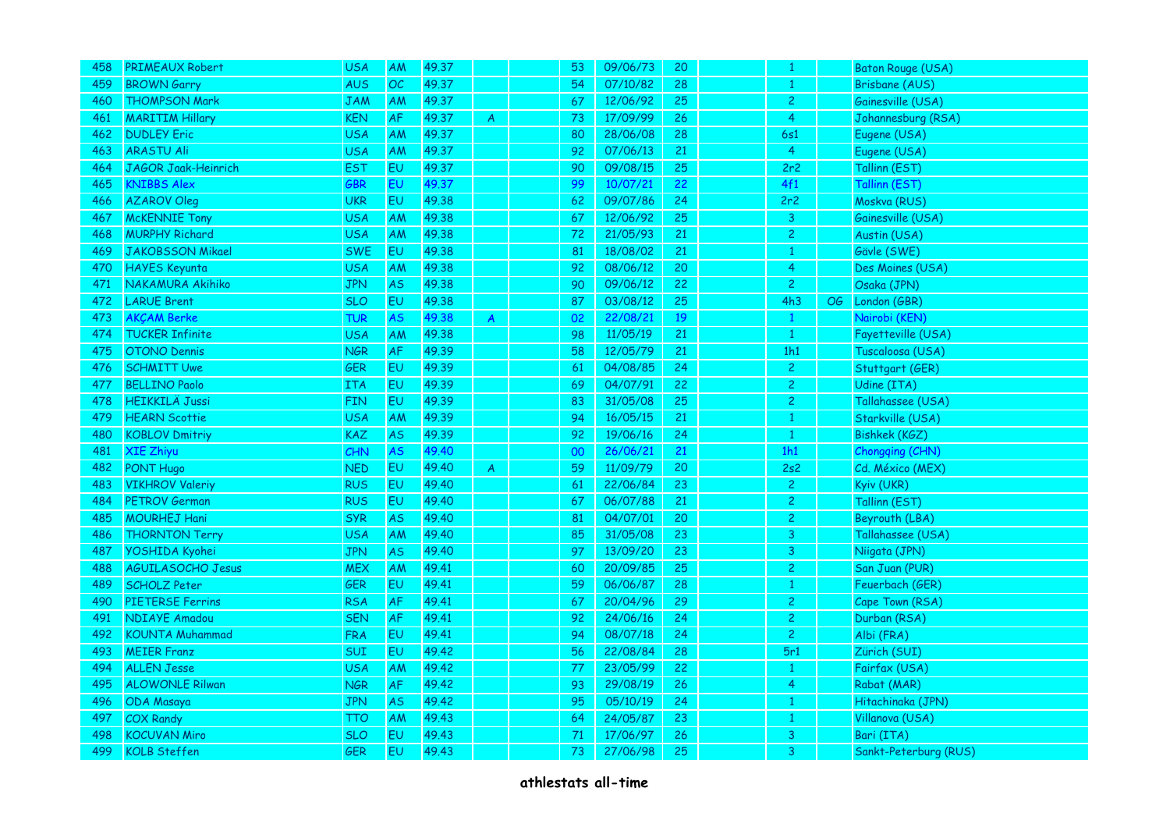| 458 | PRIMEAUX Robert          | <b>USA</b> | AM        | 49.37 |                | 53 | 09/06/73 | 20 |                |                 | Baton Rouge (USA)     |
|-----|--------------------------|------------|-----------|-------|----------------|----|----------|----|----------------|-----------------|-----------------------|
| 459 | <b>BROWN Garry</b>       | <b>AUS</b> | OC        | 49.37 |                | 54 | 07/10/82 | 28 |                |                 | Brisbane (AUS)        |
| 460 | <b>THOMPSON Mark</b>     | <b>JAM</b> | AM        | 49.37 |                | 67 | 12/06/92 | 25 | $\mathbf{2}$   |                 | Gainesville (USA)     |
| 461 | <b>MARITIM Hillary</b>   | <b>KEN</b> | <b>AF</b> | 49.37 | A              | 73 | 17/09/99 | 26 | $\overline{4}$ |                 | Johannesburg (RSA)    |
| 462 | <b>DUDLEY Eric</b>       | <b>USA</b> | AM        | 49.37 |                | 80 | 28/06/08 | 28 | 6s1            |                 | Eugene (USA)          |
| 463 | <b>ARASTU Ali</b>        | <b>USA</b> | <b>AM</b> | 49.37 |                | 92 | 07/06/13 | 21 | $\overline{4}$ |                 | Eugene (USA)          |
| 464 | JAGOR Jaak-Heinrich      | <b>EST</b> | <b>EU</b> | 49.37 |                | 90 | 09/08/15 | 25 | 2r2            |                 | Tallinn (EST)         |
| 465 | <b>KNIBBS Alex</b>       | GBR        | <b>EU</b> | 49.37 |                | 99 | 10/07/21 | 22 | 4f1            |                 | Tallinn (EST)         |
| 466 | <b>AZAROV Oleg</b>       | <b>UKR</b> | EU        | 49.38 |                | 62 | 09/07/86 | 24 | 2r2            |                 | Moskva (RUS)          |
| 467 | <b>McKENNIE Tony</b>     | <b>USA</b> | AM        | 49.38 |                | 67 | 12/06/92 | 25 | 3 <sup>7</sup> |                 | Gainesville (USA)     |
| 468 | <b>MURPHY Richard</b>    | <b>USA</b> | AM        | 49.38 |                | 72 | 21/05/93 | 21 | $\overline{2}$ |                 | Austin (USA)          |
| 469 | <b>JAKOBSSON Mikael</b>  | <b>SWE</b> | EU        | 49.38 |                | 81 | 18/08/02 | 21 |                |                 | Gävle (SWE)           |
| 470 | <b>HAYES Keyunta</b>     | <b>USA</b> | AM        | 49.38 |                | 92 | 08/06/12 | 20 | 4              |                 | Des Moines (USA)      |
| 471 | NAKAMURA Akihiko         | <b>JPN</b> | <b>AS</b> | 49.38 |                | 90 | 09/06/12 | 22 | 2 <sup>1</sup> |                 | Osaka (JPN)           |
| 472 | <b>LARUE Brent</b>       | <b>SLO</b> | <b>EU</b> | 49.38 |                | 87 | 03/08/12 | 25 | 4h3            | $\overline{OG}$ | London (GBR)          |
| 473 | <b>AKCAM Berke</b>       | TUR        | <b>AS</b> | 49.38 | $\mathsf{A}$   | 02 | 22/08/21 | 19 |                |                 | Nairobi (KEN)         |
| 474 | <b>TUCKER Infinite</b>   | <b>USA</b> | <b>AM</b> | 49.38 |                | 98 | 11/05/19 | 21 | $\mathbf{1}$   |                 | Fayetteville (USA)    |
| 475 | OTONO Dennis             | <b>NGR</b> | AF        | 49.39 |                | 58 | 12/05/79 | 21 | 1h1            |                 | Tuscaloosa (USA)      |
| 476 | <b>SCHMITT Uwe</b>       | <b>GER</b> | EU        | 49.39 |                | 61 | 04/08/85 | 24 | 2 <sup>1</sup> |                 | Stuttgart (GER)       |
| 477 | <b>BELLINO Paolo</b>     | <b>ITA</b> | <b>EU</b> | 49.39 |                | 69 | 04/07/91 | 22 | $\overline{c}$ |                 | Udine (ITA)           |
| 478 | <b>HEIKKILÄ Jussi</b>    | <b>FIN</b> | EU        | 49.39 |                | 83 | 31/05/08 | 25 | $\overline{2}$ |                 | Tallahassee (USA)     |
| 479 | <b>HEARN Scottie</b>     | <b>USA</b> | AM        | 49.39 |                | 94 | 16/05/15 | 21 |                |                 | Starkville (USA)      |
| 480 | <b>KOBLOV Dmitriy</b>    | <b>KAZ</b> | <b>AS</b> | 49.39 |                | 92 | 19/06/16 | 24 | 1.             |                 | <b>Bishkek (KGZ)</b>  |
| 481 | <b>XIE Zhiyu</b>         | CHN        | <b>AS</b> | 49.40 |                | 00 | 26/06/21 | 21 | 1h1            |                 | Chongqing (CHN)       |
| 482 | <b>PONT Hugo</b>         | <b>NED</b> | EU        | 49.40 | $\overline{A}$ | 59 | 11/09/79 | 20 | 2s2            |                 | Cd. México (MEX)      |
| 483 | <b>VIKHROV Valeriy</b>   | <b>RUS</b> | <b>EU</b> | 49.40 |                | 61 | 22/06/84 | 23 | $\overline{2}$ |                 | Kyiv (UKR)            |
| 484 | <b>PETROV German</b>     | <b>RUS</b> | <b>EU</b> | 49.40 |                | 67 | 06/07/88 | 21 | $\overline{c}$ |                 | Tallinn (EST)         |
| 485 | <b>MOURHEJ Hani</b>      | <b>SYR</b> | <b>AS</b> | 49.40 |                | 81 | 04/07/01 | 20 | 2 <sup>1</sup> |                 | Beyrouth (LBA)        |
| 486 | <b>THORNTON Terry</b>    | <b>USA</b> | AM        | 49.40 |                | 85 | 31/05/08 | 23 | 3              |                 | Tallahassee (USA)     |
| 487 | YOSHIDA Kyohei           | <b>JPN</b> | <b>AS</b> | 49.40 |                | 97 | 13/09/20 | 23 | 3              |                 | Niigata (JPN)         |
| 488 | <b>AGUILASOCHO Jesus</b> | <b>MEX</b> | AM        | 49.41 |                | 60 | 20/09/85 | 25 | $\overline{2}$ |                 | San Juan (PUR)        |
| 489 | <b>SCHOLZ Peter</b>      | GER        | <b>EU</b> | 49.41 |                | 59 | 06/06/87 | 28 | 1              |                 | Feuerbach (GER)       |
| 490 | <b>PIETERSE Ferrins</b>  | <b>RSA</b> | <b>AF</b> | 49.41 |                | 67 | 20/04/96 | 29 | $\overline{2}$ |                 | Cape Town (RSA)       |
| 491 | <b>NDIAYE Amadou</b>     | <b>SEN</b> | <b>AF</b> | 49.41 |                | 92 | 24/06/16 | 24 | $\overline{2}$ |                 | Durban (RSA)          |
| 492 | <b>KOUNTA Muhammad</b>   | <b>FRA</b> | <b>EU</b> | 49.41 |                | 94 | 08/07/18 | 24 | $\overline{2}$ |                 | Albi (FRA)            |
| 493 | <b>MEIER Franz</b>       | SUI        | EU        | 49.42 |                | 56 | 22/08/84 | 28 | 5r1            |                 | Zürich (SUI)          |
| 494 | <b>ALLEN Jesse</b>       | <b>USA</b> | AM        | 49.42 |                | 77 | 23/05/99 | 22 | $\mathbf{1}$   |                 | Fairfax (USA)         |
| 495 | <b>ALOWONLE Rilwan</b>   | <b>NGR</b> | <b>AF</b> | 49.42 |                | 93 | 29/08/19 | 26 | $\overline{4}$ |                 | Rabat (MAR)           |
| 496 | <b>ODA Masaya</b>        | <b>JPN</b> | <b>AS</b> | 49.42 |                | 95 | 05/10/19 | 24 |                |                 | Hitachinaka (JPN)     |
| 497 | <b>COX Randy</b>         | <b>TTO</b> | <b>AM</b> | 49.43 |                | 64 | 24/05/87 | 23 | $\mathbf{1}$   |                 | Villanova (USA)       |
| 498 | <b>KOCUVAN Miro</b>      | <b>SLO</b> | EU        | 49.43 |                | 71 | 17/06/97 | 26 | 3              |                 | Bari (ITA)            |
| 499 | <b>KOLB Steffen</b>      | <b>GER</b> | <b>EU</b> | 49.43 |                | 73 | 27/06/98 | 25 | 3              |                 | Sankt-Peterburg (RUS) |